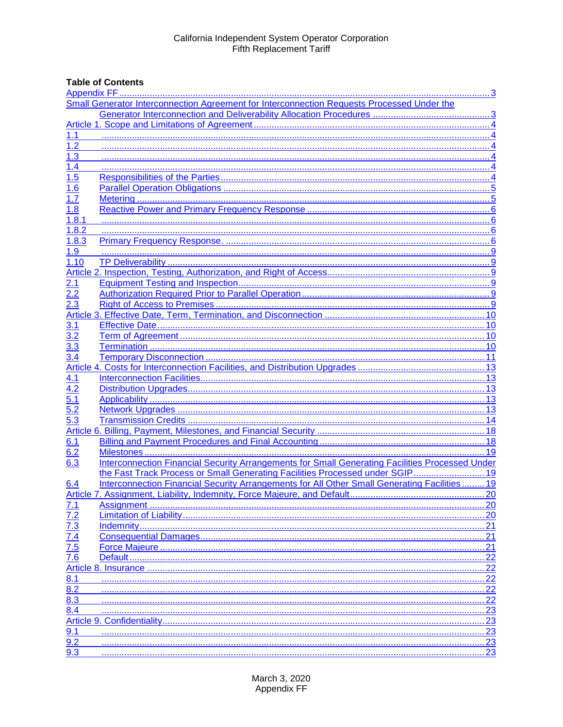# **Table of Contents**

|                                                                         | Small Generator Interconnection Agreement for Interconnection Requests Processed Under the      |      |  |  |
|-------------------------------------------------------------------------|-------------------------------------------------------------------------------------------------|------|--|--|
|                                                                         |                                                                                                 |      |  |  |
|                                                                         |                                                                                                 |      |  |  |
| 1.1                                                                     |                                                                                                 |      |  |  |
| 1.2                                                                     |                                                                                                 |      |  |  |
| 1.3                                                                     |                                                                                                 |      |  |  |
| 1.4                                                                     |                                                                                                 |      |  |  |
| 1.5                                                                     |                                                                                                 |      |  |  |
| <u>1.6</u>                                                              |                                                                                                 |      |  |  |
| 1.7                                                                     |                                                                                                 |      |  |  |
| 1.8                                                                     |                                                                                                 |      |  |  |
| 1.8.1                                                                   |                                                                                                 |      |  |  |
| 1.8.2                                                                   |                                                                                                 |      |  |  |
| 1.8.3                                                                   |                                                                                                 |      |  |  |
| 1.9                                                                     |                                                                                                 |      |  |  |
| 1.10                                                                    |                                                                                                 |      |  |  |
|                                                                         |                                                                                                 |      |  |  |
| 2.1                                                                     |                                                                                                 |      |  |  |
| $2.\overline{2}$                                                        |                                                                                                 |      |  |  |
| $2.\overline{3}$                                                        |                                                                                                 |      |  |  |
|                                                                         |                                                                                                 |      |  |  |
| 3.1                                                                     |                                                                                                 |      |  |  |
| 3.2                                                                     |                                                                                                 |      |  |  |
| 3.3                                                                     |                                                                                                 |      |  |  |
| $\overline{3.4}$                                                        |                                                                                                 |      |  |  |
|                                                                         |                                                                                                 |      |  |  |
| 4.1                                                                     |                                                                                                 |      |  |  |
| 4.2                                                                     |                                                                                                 |      |  |  |
| 5.1                                                                     |                                                                                                 |      |  |  |
| 5.2                                                                     |                                                                                                 |      |  |  |
| 5.3                                                                     |                                                                                                 |      |  |  |
|                                                                         |                                                                                                 |      |  |  |
| 6.1                                                                     |                                                                                                 |      |  |  |
| 6.2                                                                     |                                                                                                 | . 19 |  |  |
| 6.3                                                                     | Interconnection Financial Security Arrangements for Small Generating Facilities Processed Under |      |  |  |
|                                                                         | the Fast Track Process or Small Generating Facilities Processed under SGIP 19                   |      |  |  |
| 6.4                                                                     | Interconnection Financial Security Arrangements for All Other Small Generating Facilities 19    |      |  |  |
|                                                                         |                                                                                                 |      |  |  |
|                                                                         |                                                                                                 | 20   |  |  |
|                                                                         |                                                                                                 | 20   |  |  |
| $\frac{7.1}{7.2}$ $\frac{7.3}{7.4}$ $\frac{7.4}{7.5}$ $\frac{7.5}{7.6}$ |                                                                                                 |      |  |  |
|                                                                         |                                                                                                 | .21  |  |  |
|                                                                         |                                                                                                 | 21   |  |  |
|                                                                         |                                                                                                 | .22  |  |  |
|                                                                         |                                                                                                 | 22   |  |  |
| 8.1                                                                     |                                                                                                 | 22   |  |  |
| 8.2                                                                     |                                                                                                 | 22   |  |  |
| 8.3                                                                     |                                                                                                 | 22   |  |  |
| 8.4                                                                     |                                                                                                 | 23   |  |  |
|                                                                         |                                                                                                 | .23  |  |  |
| 9.1                                                                     |                                                                                                 | .23  |  |  |
| 9.2                                                                     |                                                                                                 | .23  |  |  |
| 9.3                                                                     |                                                                                                 | 23   |  |  |
|                                                                         |                                                                                                 |      |  |  |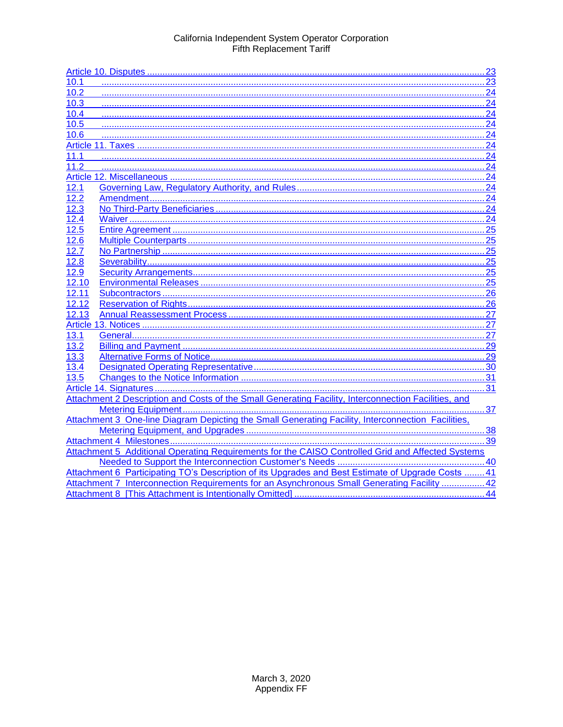| 10.1                                                                                               |  |  |
|----------------------------------------------------------------------------------------------------|--|--|
|                                                                                                    |  |  |
| 10.2<br>24                                                                                         |  |  |
| 10.3                                                                                               |  |  |
| .24<br>10.4                                                                                        |  |  |
| 10.5<br>24                                                                                         |  |  |
| 10.6                                                                                               |  |  |
| 24                                                                                                 |  |  |
| 11.1                                                                                               |  |  |
| 11.2                                                                                               |  |  |
|                                                                                                    |  |  |
| 12.1                                                                                               |  |  |
| 12.2                                                                                               |  |  |
| 12.3                                                                                               |  |  |
| 12.4                                                                                               |  |  |
| 12.5                                                                                               |  |  |
| 12.6                                                                                               |  |  |
| 12.7                                                                                               |  |  |
| 12.8                                                                                               |  |  |
| 12.9                                                                                               |  |  |
| 12.10                                                                                              |  |  |
| 12.11                                                                                              |  |  |
| 12.12                                                                                              |  |  |
| 12.13                                                                                              |  |  |
|                                                                                                    |  |  |
| 13.1                                                                                               |  |  |
| 13.2                                                                                               |  |  |
| 13.3                                                                                               |  |  |
| 13.4                                                                                               |  |  |
| 13.5                                                                                               |  |  |
|                                                                                                    |  |  |
|                                                                                                    |  |  |
| 37                                                                                                 |  |  |
| Attachment 3 One-line Diagram Depicting the Small Generating Facility, Interconnection Facilities, |  |  |
|                                                                                                    |  |  |
|                                                                                                    |  |  |
| Attachment 5 Additional Operating Requirements for the CAISO Controlled Grid and Affected Systems  |  |  |
|                                                                                                    |  |  |
| Attachment 6 Participating TO's Description of its Upgrades and Best Estimate of Upgrade Costs 41  |  |  |
| Attachment 7 Interconnection Requirements for an Asynchronous Small Generating Facility 42         |  |  |
|                                                                                                    |  |  |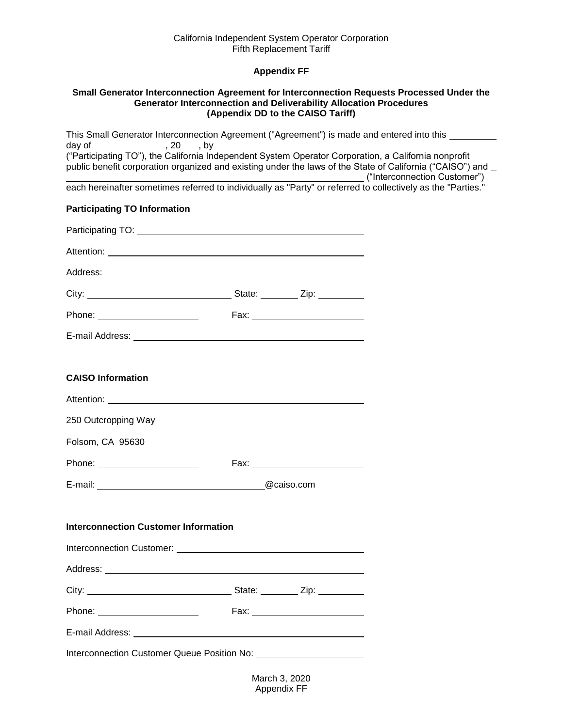# **Appendix FF**

#### <span id="page-2-1"></span><span id="page-2-0"></span>**Small Generator Interconnection Agreement for Interconnection Requests Processed Under the Generator Interconnection and Deliverability Allocation Procedures (Appendix DD to the CAISO Tariff)**

| This Small Generator Interconnection Agreement ("Agreement") is made and entered into this ________<br>day of                                                              |  |  |  |
|----------------------------------------------------------------------------------------------------------------------------------------------------------------------------|--|--|--|
| $\overline{\phantom{a}}$ , 20 $\overline{\phantom{a}}$ , by<br>public benefit corporation organized and existing under the laws of the State of California ("CAISO") and _ |  |  |  |
| each hereinafter sometimes referred to individually as "Party" or referred to collectively as the "Parties."                                                               |  |  |  |
|                                                                                                                                                                            |  |  |  |
| <b>Participating TO Information</b>                                                                                                                                        |  |  |  |
|                                                                                                                                                                            |  |  |  |
|                                                                                                                                                                            |  |  |  |
|                                                                                                                                                                            |  |  |  |
|                                                                                                                                                                            |  |  |  |
|                                                                                                                                                                            |  |  |  |
|                                                                                                                                                                            |  |  |  |
|                                                                                                                                                                            |  |  |  |
| <b>CAISO Information</b>                                                                                                                                                   |  |  |  |
| Attention: <u>Attention</u>                                                                                                                                                |  |  |  |
| 250 Outcropping Way                                                                                                                                                        |  |  |  |
| Folsom, CA 95630                                                                                                                                                           |  |  |  |
| Phone: ________________________                                                                                                                                            |  |  |  |
|                                                                                                                                                                            |  |  |  |
|                                                                                                                                                                            |  |  |  |
| <b>Interconnection Customer Information</b>                                                                                                                                |  |  |  |
|                                                                                                                                                                            |  |  |  |
|                                                                                                                                                                            |  |  |  |
|                                                                                                                                                                            |  |  |  |
| Phone: _______________________                                                                                                                                             |  |  |  |
|                                                                                                                                                                            |  |  |  |
|                                                                                                                                                                            |  |  |  |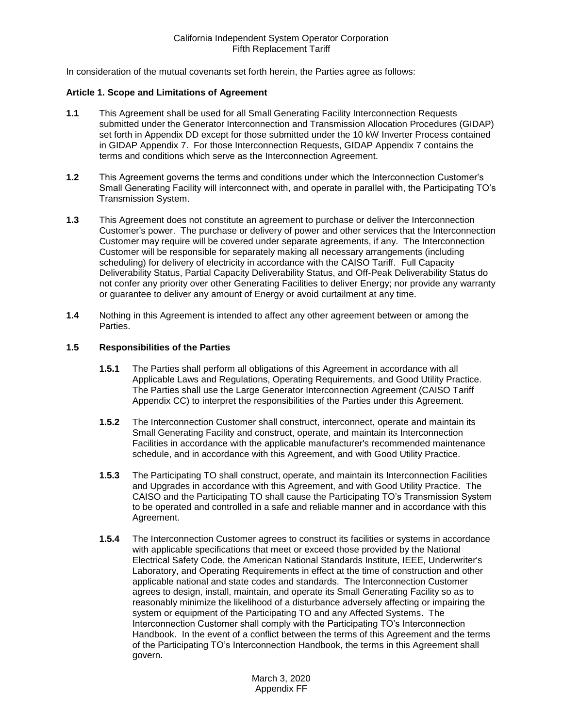In consideration of the mutual covenants set forth herein, the Parties agree as follows:

#### <span id="page-3-0"></span>**Article 1. Scope and Limitations of Agreement**

- <span id="page-3-1"></span>**1.1** This Agreement shall be used for all Small Generating Facility Interconnection Requests submitted under the Generator Interconnection and Transmission Allocation Procedures (GIDAP) set forth in Appendix DD except for those submitted under the 10 kW Inverter Process contained in GIDAP Appendix 7. For those Interconnection Requests, GIDAP Appendix 7 contains the terms and conditions which serve as the Interconnection Agreement.
- <span id="page-3-2"></span>**1.2** This Agreement governs the terms and conditions under which the Interconnection Customer's Small Generating Facility will interconnect with, and operate in parallel with, the Participating TO's Transmission System.
- <span id="page-3-3"></span>**1.3** This Agreement does not constitute an agreement to purchase or deliver the Interconnection Customer's power. The purchase or delivery of power and other services that the Interconnection Customer may require will be covered under separate agreements, if any. The Interconnection Customer will be responsible for separately making all necessary arrangements (including scheduling) for delivery of electricity in accordance with the CAISO Tariff. Full Capacity Deliverability Status, Partial Capacity Deliverability Status, and Off-Peak Deliverability Status do not confer any priority over other Generating Facilities to deliver Energy; nor provide any warranty or guarantee to deliver any amount of Energy or avoid curtailment at any time.
- <span id="page-3-4"></span>**1.4** Nothing in this Agreement is intended to affect any other agreement between or among the Parties.

# <span id="page-3-5"></span>**1.5 Responsibilities of the Parties**

- **1.5.1** The Parties shall perform all obligations of this Agreement in accordance with all Applicable Laws and Regulations, Operating Requirements, and Good Utility Practice. The Parties shall use the Large Generator Interconnection Agreement (CAISO Tariff Appendix CC) to interpret the responsibilities of the Parties under this Agreement.
- **1.5.2** The Interconnection Customer shall construct, interconnect, operate and maintain its Small Generating Facility and construct, operate, and maintain its Interconnection Facilities in accordance with the applicable manufacturer's recommended maintenance schedule, and in accordance with this Agreement, and with Good Utility Practice.
- **1.5.3** The Participating TO shall construct, operate, and maintain its Interconnection Facilities and Upgrades in accordance with this Agreement, and with Good Utility Practice. The CAISO and the Participating TO shall cause the Participating TO's Transmission System to be operated and controlled in a safe and reliable manner and in accordance with this Agreement.
- **1.5.4** The Interconnection Customer agrees to construct its facilities or systems in accordance with applicable specifications that meet or exceed those provided by the National Electrical Safety Code, the American National Standards Institute, IEEE, Underwriter's Laboratory, and Operating Requirements in effect at the time of construction and other applicable national and state codes and standards. The Interconnection Customer agrees to design, install, maintain, and operate its Small Generating Facility so as to reasonably minimize the likelihood of a disturbance adversely affecting or impairing the system or equipment of the Participating TO and any Affected Systems. The Interconnection Customer shall comply with the Participating TO's Interconnection Handbook. In the event of a conflict between the terms of this Agreement and the terms of the Participating TO's Interconnection Handbook, the terms in this Agreement shall govern.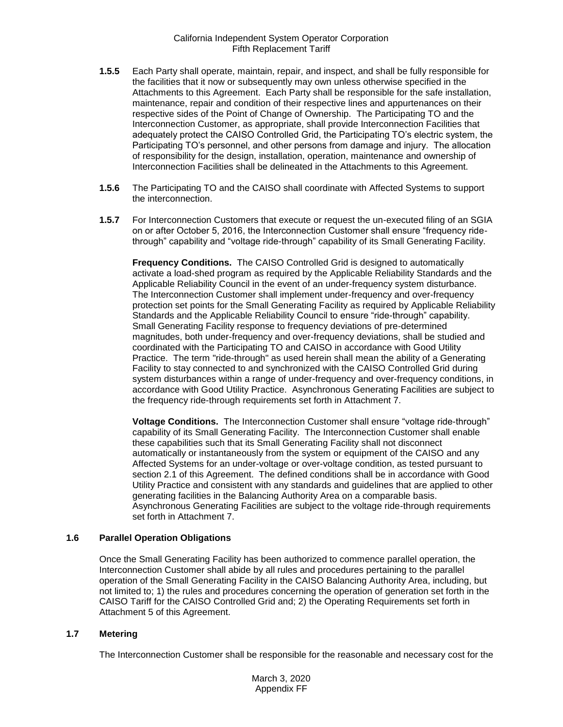- **1.5.5** Each Party shall operate, maintain, repair, and inspect, and shall be fully responsible for the facilities that it now or subsequently may own unless otherwise specified in the Attachments to this Agreement. Each Party shall be responsible for the safe installation, maintenance, repair and condition of their respective lines and appurtenances on their respective sides of the Point of Change of Ownership. The Participating TO and the Interconnection Customer, as appropriate, shall provide Interconnection Facilities that adequately protect the CAISO Controlled Grid, the Participating TO's electric system, the Participating TO's personnel, and other persons from damage and injury. The allocation of responsibility for the design, installation, operation, maintenance and ownership of Interconnection Facilities shall be delineated in the Attachments to this Agreement.
- **1.5.6** The Participating TO and the CAISO shall coordinate with Affected Systems to support the interconnection.
- **1.5.7** For Interconnection Customers that execute or request the un-executed filing of an SGIA on or after October 5, 2016, the Interconnection Customer shall ensure "frequency ridethrough" capability and "voltage ride-through" capability of its Small Generating Facility.

**Frequency Conditions.** The CAISO Controlled Grid is designed to automatically activate a load-shed program as required by the Applicable Reliability Standards and the Applicable Reliability Council in the event of an under-frequency system disturbance. The Interconnection Customer shall implement under-frequency and over-frequency protection set points for the Small Generating Facility as required by Applicable Reliability Standards and the Applicable Reliability Council to ensure "ride-through" capability. Small Generating Facility response to frequency deviations of pre-determined magnitudes, both under-frequency and over-frequency deviations, shall be studied and coordinated with the Participating TO and CAISO in accordance with Good Utility Practice. The term "ride-through" as used herein shall mean the ability of a Generating Facility to stay connected to and synchronized with the CAISO Controlled Grid during system disturbances within a range of under-frequency and over-frequency conditions, in accordance with Good Utility Practice. Asynchronous Generating Facilities are subject to the frequency ride-through requirements set forth in Attachment 7.

**Voltage Conditions.** The Interconnection Customer shall ensure "voltage ride-through" capability of its Small Generating Facility. The Interconnection Customer shall enable these capabilities such that its Small Generating Facility shall not disconnect automatically or instantaneously from the system or equipment of the CAISO and any Affected Systems for an under-voltage or over-voltage condition, as tested pursuant to section 2.1 of this Agreement. The defined conditions shall be in accordance with Good Utility Practice and consistent with any standards and guidelines that are applied to other generating facilities in the Balancing Authority Area on a comparable basis. Asynchronous Generating Facilities are subject to the voltage ride-through requirements set forth in Attachment 7.

#### <span id="page-4-0"></span>**1.6 Parallel Operation Obligations**

Once the Small Generating Facility has been authorized to commence parallel operation, the Interconnection Customer shall abide by all rules and procedures pertaining to the parallel operation of the Small Generating Facility in the CAISO Balancing Authority Area, including, but not limited to; 1) the rules and procedures concerning the operation of generation set forth in the CAISO Tariff for the CAISO Controlled Grid and; 2) the Operating Requirements set forth in Attachment 5 of this Agreement.

#### <span id="page-4-1"></span>**1.7 Metering**

The Interconnection Customer shall be responsible for the reasonable and necessary cost for the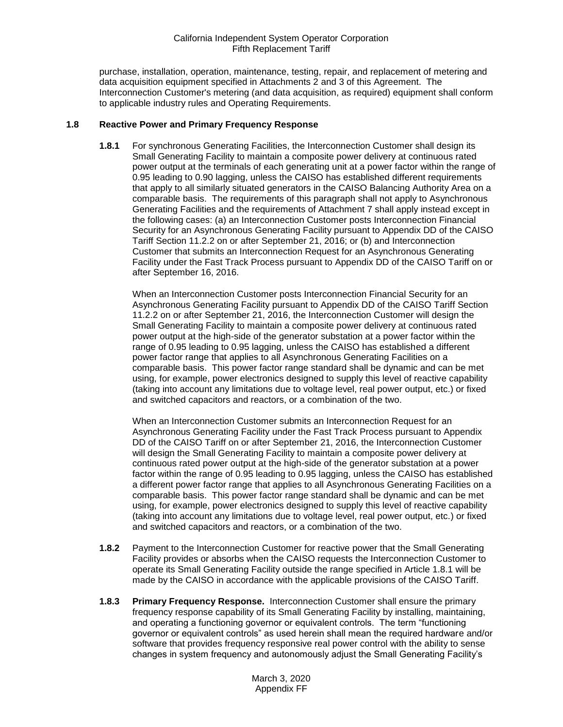purchase, installation, operation, maintenance, testing, repair, and replacement of metering and data acquisition equipment specified in Attachments 2 and 3 of this Agreement. The Interconnection Customer's metering (and data acquisition, as required) equipment shall conform to applicable industry rules and Operating Requirements.

#### <span id="page-5-1"></span><span id="page-5-0"></span>**1.8 Reactive Power and Primary Frequency Response**

**1.8.1** For synchronous Generating Facilities, the Interconnection Customer shall design its Small Generating Facility to maintain a composite power delivery at continuous rated power output at the terminals of each generating unit at a power factor within the range of 0.95 leading to 0.90 lagging, unless the CAISO has established different requirements that apply to all similarly situated generators in the CAISO Balancing Authority Area on a comparable basis. The requirements of this paragraph shall not apply to Asynchronous Generating Facilities and the requirements of Attachment 7 shall apply instead except in the following cases: (a) an Interconnection Customer posts Interconnection Financial Security for an Asynchronous Generating Facility pursuant to Appendix DD of the CAISO Tariff Section 11.2.2 on or after September 21, 2016; or (b) and Interconnection Customer that submits an Interconnection Request for an Asynchronous Generating Facility under the Fast Track Process pursuant to Appendix DD of the CAISO Tariff on or after September 16, 2016.

When an Interconnection Customer posts Interconnection Financial Security for an Asynchronous Generating Facility pursuant to Appendix DD of the CAISO Tariff Section 11.2.2 on or after September 21, 2016, the Interconnection Customer will design the Small Generating Facility to maintain a composite power delivery at continuous rated power output at the high-side of the generator substation at a power factor within the range of 0.95 leading to 0.95 lagging, unless the CAISO has established a different power factor range that applies to all Asynchronous Generating Facilities on a comparable basis. This power factor range standard shall be dynamic and can be met using, for example, power electronics designed to supply this level of reactive capability (taking into account any limitations due to voltage level, real power output, etc.) or fixed and switched capacitors and reactors, or a combination of the two.

When an Interconnection Customer submits an Interconnection Request for an Asynchronous Generating Facility under the Fast Track Process pursuant to Appendix DD of the CAISO Tariff on or after September 21, 2016, the Interconnection Customer will design the Small Generating Facility to maintain a composite power delivery at continuous rated power output at the high-side of the generator substation at a power factor within the range of 0.95 leading to 0.95 lagging, unless the CAISO has established a different power factor range that applies to all Asynchronous Generating Facilities on a comparable basis. This power factor range standard shall be dynamic and can be met using, for example, power electronics designed to supply this level of reactive capability (taking into account any limitations due to voltage level, real power output, etc.) or fixed and switched capacitors and reactors, or a combination of the two.

- <span id="page-5-2"></span>**1.8.2** Payment to the Interconnection Customer for reactive power that the Small Generating Facility provides or absorbs when the CAISO requests the Interconnection Customer to operate its Small Generating Facility outside the range specified in Article 1.8.1 will be made by the CAISO in accordance with the applicable provisions of the CAISO Tariff.
- <span id="page-5-3"></span>**1.8.3 Primary Frequency Response.** Interconnection Customer shall ensure the primary frequency response capability of its Small Generating Facility by installing, maintaining, and operating a functioning governor or equivalent controls. The term "functioning governor or equivalent controls" as used herein shall mean the required hardware and/or software that provides frequency responsive real power control with the ability to sense changes in system frequency and autonomously adjust the Small Generating Facility's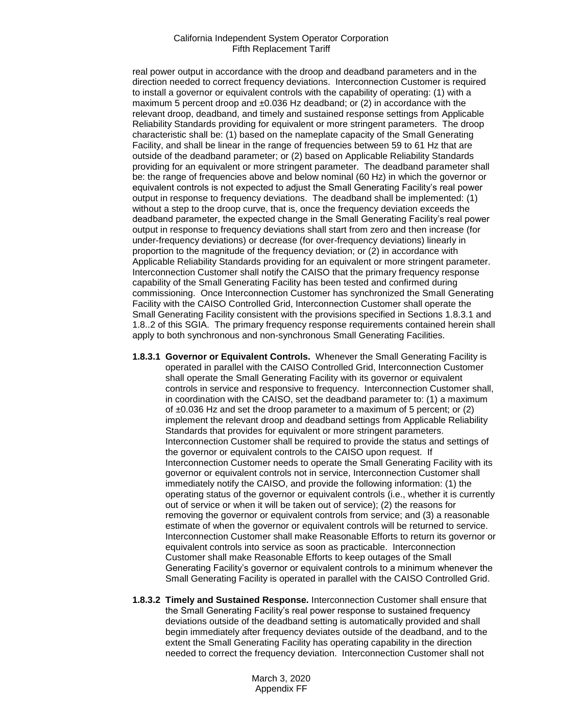real power output in accordance with the droop and deadband parameters and in the direction needed to correct frequency deviations. Interconnection Customer is required to install a governor or equivalent controls with the capability of operating: (1) with a maximum 5 percent droop and  $\pm 0.036$  Hz deadband; or (2) in accordance with the relevant droop, deadband, and timely and sustained response settings from Applicable Reliability Standards providing for equivalent or more stringent parameters. The droop characteristic shall be: (1) based on the nameplate capacity of the Small Generating Facility, and shall be linear in the range of frequencies between 59 to 61 Hz that are outside of the deadband parameter; or (2) based on Applicable Reliability Standards providing for an equivalent or more stringent parameter. The deadband parameter shall be: the range of frequencies above and below nominal (60 Hz) in which the governor or equivalent controls is not expected to adjust the Small Generating Facility's real power output in response to frequency deviations. The deadband shall be implemented: (1) without a step to the droop curve, that is, once the frequency deviation exceeds the deadband parameter, the expected change in the Small Generating Facility's real power output in response to frequency deviations shall start from zero and then increase (for under-frequency deviations) or decrease (for over-frequency deviations) linearly in proportion to the magnitude of the frequency deviation; or (2) in accordance with Applicable Reliability Standards providing for an equivalent or more stringent parameter. Interconnection Customer shall notify the CAISO that the primary frequency response capability of the Small Generating Facility has been tested and confirmed during commissioning. Once Interconnection Customer has synchronized the Small Generating Facility with the CAISO Controlled Grid, Interconnection Customer shall operate the Small Generating Facility consistent with the provisions specified in Sections 1.8.3.1 and 1.8..2 of this SGIA. The primary frequency response requirements contained herein shall apply to both synchronous and non-synchronous Small Generating Facilities.

- **1.8.3.1 Governor or Equivalent Controls.** Whenever the Small Generating Facility is operated in parallel with the CAISO Controlled Grid, Interconnection Customer shall operate the Small Generating Facility with its governor or equivalent controls in service and responsive to frequency. Interconnection Customer shall, in coordination with the CAISO, set the deadband parameter to: (1) a maximum of  $\pm 0.036$  Hz and set the droop parameter to a maximum of 5 percent; or (2) implement the relevant droop and deadband settings from Applicable Reliability Standards that provides for equivalent or more stringent parameters. Interconnection Customer shall be required to provide the status and settings of the governor or equivalent controls to the CAISO upon request. If Interconnection Customer needs to operate the Small Generating Facility with its governor or equivalent controls not in service, Interconnection Customer shall immediately notify the CAISO, and provide the following information: (1) the operating status of the governor or equivalent controls (i.e., whether it is currently out of service or when it will be taken out of service); (2) the reasons for removing the governor or equivalent controls from service; and (3) a reasonable estimate of when the governor or equivalent controls will be returned to service. Interconnection Customer shall make Reasonable Efforts to return its governor or equivalent controls into service as soon as practicable. Interconnection Customer shall make Reasonable Efforts to keep outages of the Small Generating Facility's governor or equivalent controls to a minimum whenever the Small Generating Facility is operated in parallel with the CAISO Controlled Grid.
- **1.8.3.2 Timely and Sustained Response.** Interconnection Customer shall ensure that the Small Generating Facility's real power response to sustained frequency deviations outside of the deadband setting is automatically provided and shall begin immediately after frequency deviates outside of the deadband, and to the extent the Small Generating Facility has operating capability in the direction needed to correct the frequency deviation. Interconnection Customer shall not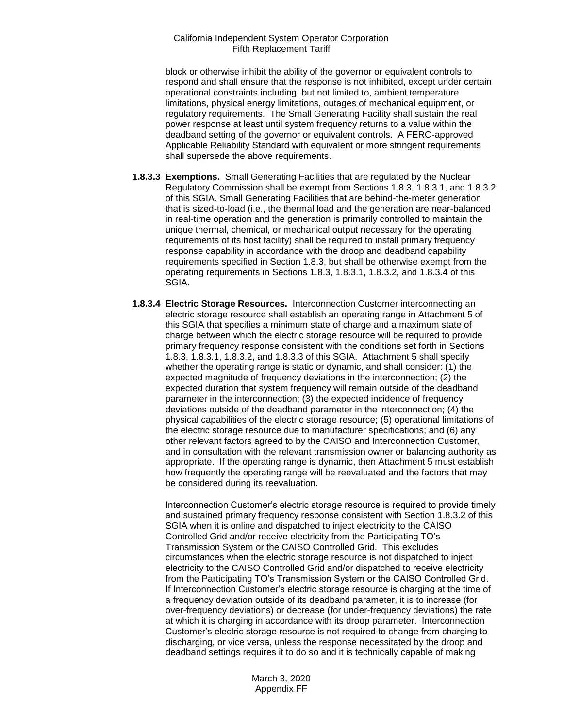block or otherwise inhibit the ability of the governor or equivalent controls to respond and shall ensure that the response is not inhibited, except under certain operational constraints including, but not limited to, ambient temperature limitations, physical energy limitations, outages of mechanical equipment, or regulatory requirements. The Small Generating Facility shall sustain the real power response at least until system frequency returns to a value within the deadband setting of the governor or equivalent controls. A FERC-approved Applicable Reliability Standard with equivalent or more stringent requirements shall supersede the above requirements.

- **1.8.3.3 Exemptions.** Small Generating Facilities that are regulated by the Nuclear Regulatory Commission shall be exempt from Sections 1.8.3, 1.8.3.1, and 1.8.3.2 of this SGIA. Small Generating Facilities that are behind-the-meter generation that is sized-to-load (i.e., the thermal load and the generation are near-balanced in real-time operation and the generation is primarily controlled to maintain the unique thermal, chemical, or mechanical output necessary for the operating requirements of its host facility) shall be required to install primary frequency response capability in accordance with the droop and deadband capability requirements specified in Section 1.8.3, but shall be otherwise exempt from the operating requirements in Sections 1.8.3, 1.8.3.1, 1.8.3.2, and 1.8.3.4 of this SGIA.
- **1.8.3.4 Electric Storage Resources.** Interconnection Customer interconnecting an electric storage resource shall establish an operating range in Attachment 5 of this SGIA that specifies a minimum state of charge and a maximum state of charge between which the electric storage resource will be required to provide primary frequency response consistent with the conditions set forth in Sections 1.8.3, 1.8.3.1, 1.8.3.2, and 1.8.3.3 of this SGIA. Attachment 5 shall specify whether the operating range is static or dynamic, and shall consider: (1) the expected magnitude of frequency deviations in the interconnection; (2) the expected duration that system frequency will remain outside of the deadband parameter in the interconnection; (3) the expected incidence of frequency deviations outside of the deadband parameter in the interconnection; (4) the physical capabilities of the electric storage resource; (5) operational limitations of the electric storage resource due to manufacturer specifications; and (6) any other relevant factors agreed to by the CAISO and Interconnection Customer, and in consultation with the relevant transmission owner or balancing authority as appropriate. If the operating range is dynamic, then Attachment 5 must establish how frequently the operating range will be reevaluated and the factors that may be considered during its reevaluation.

Interconnection Customer's electric storage resource is required to provide timely and sustained primary frequency response consistent with Section 1.8.3.2 of this SGIA when it is online and dispatched to inject electricity to the CAISO Controlled Grid and/or receive electricity from the Participating TO's Transmission System or the CAISO Controlled Grid. This excludes circumstances when the electric storage resource is not dispatched to inject electricity to the CAISO Controlled Grid and/or dispatched to receive electricity from the Participating TO's Transmission System or the CAISO Controlled Grid. If Interconnection Customer's electric storage resource is charging at the time of a frequency deviation outside of its deadband parameter, it is to increase (for over-frequency deviations) or decrease (for under-frequency deviations) the rate at which it is charging in accordance with its droop parameter. Interconnection Customer's electric storage resource is not required to change from charging to discharging, or vice versa, unless the response necessitated by the droop and deadband settings requires it to do so and it is technically capable of making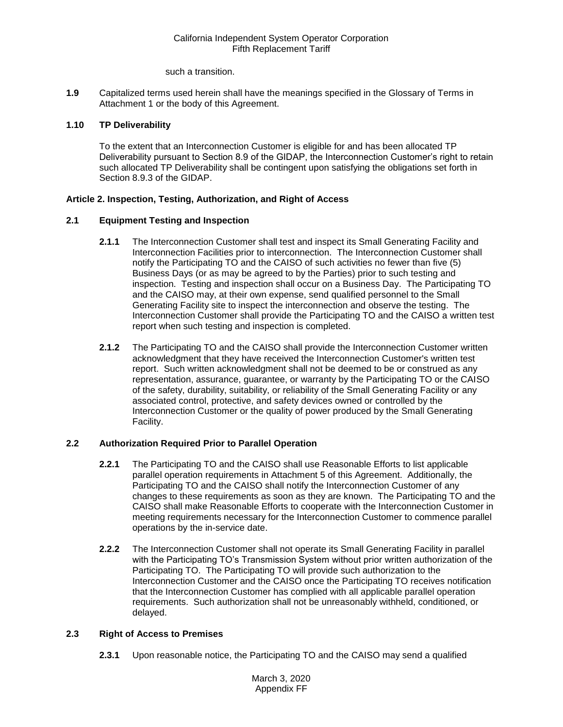such a transition.

<span id="page-8-0"></span>**1.9** Capitalized terms used herein shall have the meanings specified in the Glossary of Terms in Attachment 1 or the body of this Agreement.

# <span id="page-8-1"></span>**1.10 TP Deliverability**

To the extent that an Interconnection Customer is eligible for and has been allocated TP Deliverability pursuant to Section 8.9 of the GIDAP, the Interconnection Customer's right to retain such allocated TP Deliverability shall be contingent upon satisfying the obligations set forth in Section 8.9.3 of the GIDAP.

# <span id="page-8-2"></span>**Article 2. Inspection, Testing, Authorization, and Right of Access**

# <span id="page-8-3"></span>**2.1 Equipment Testing and Inspection**

- **2.1.1** The Interconnection Customer shall test and inspect its Small Generating Facility and Interconnection Facilities prior to interconnection. The Interconnection Customer shall notify the Participating TO and the CAISO of such activities no fewer than five (5) Business Days (or as may be agreed to by the Parties) prior to such testing and inspection. Testing and inspection shall occur on a Business Day. The Participating TO and the CAISO may, at their own expense, send qualified personnel to the Small Generating Facility site to inspect the interconnection and observe the testing. The Interconnection Customer shall provide the Participating TO and the CAISO a written test report when such testing and inspection is completed.
- **2.1.2** The Participating TO and the CAISO shall provide the Interconnection Customer written acknowledgment that they have received the Interconnection Customer's written test report. Such written acknowledgment shall not be deemed to be or construed as any representation, assurance, guarantee, or warranty by the Participating TO or the CAISO of the safety, durability, suitability, or reliability of the Small Generating Facility or any associated control, protective, and safety devices owned or controlled by the Interconnection Customer or the quality of power produced by the Small Generating Facility.

# <span id="page-8-4"></span>**2.2 Authorization Required Prior to Parallel Operation**

- **2.2.1** The Participating TO and the CAISO shall use Reasonable Efforts to list applicable parallel operation requirements in Attachment 5 of this Agreement. Additionally, the Participating TO and the CAISO shall notify the Interconnection Customer of any changes to these requirements as soon as they are known. The Participating TO and the CAISO shall make Reasonable Efforts to cooperate with the Interconnection Customer in meeting requirements necessary for the Interconnection Customer to commence parallel operations by the in-service date.
- **2.2.2** The Interconnection Customer shall not operate its Small Generating Facility in parallel with the Participating TO's Transmission System without prior written authorization of the Participating TO. The Participating TO will provide such authorization to the Interconnection Customer and the CAISO once the Participating TO receives notification that the Interconnection Customer has complied with all applicable parallel operation requirements. Such authorization shall not be unreasonably withheld, conditioned, or delayed.

# <span id="page-8-5"></span>**2.3 Right of Access to Premises**

**2.3.1** Upon reasonable notice, the Participating TO and the CAISO may send a qualified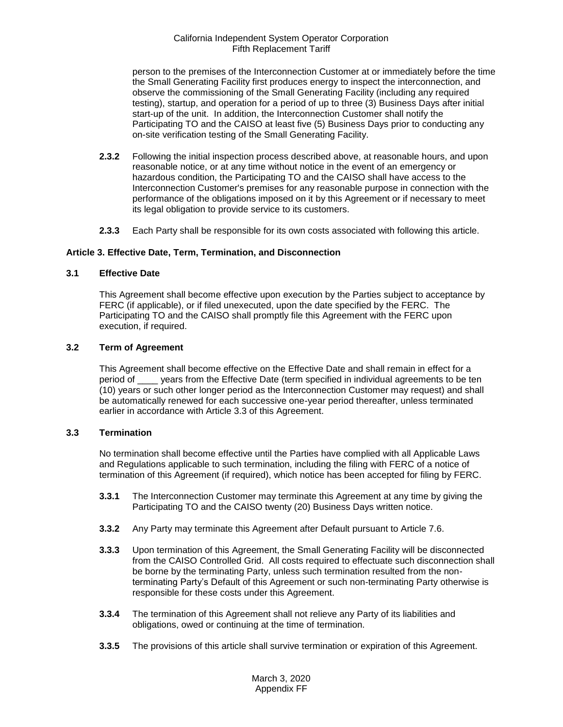person to the premises of the Interconnection Customer at or immediately before the time the Small Generating Facility first produces energy to inspect the interconnection, and observe the commissioning of the Small Generating Facility (including any required testing), startup, and operation for a period of up to three (3) Business Days after initial start-up of the unit. In addition, the Interconnection Customer shall notify the Participating TO and the CAISO at least five (5) Business Days prior to conducting any on-site verification testing of the Small Generating Facility.

- **2.3.2** Following the initial inspection process described above, at reasonable hours, and upon reasonable notice, or at any time without notice in the event of an emergency or hazardous condition, the Participating TO and the CAISO shall have access to the Interconnection Customer's premises for any reasonable purpose in connection with the performance of the obligations imposed on it by this Agreement or if necessary to meet its legal obligation to provide service to its customers.
- **2.3.3** Each Party shall be responsible for its own costs associated with following this article.

# <span id="page-9-0"></span>**Article 3. Effective Date, Term, Termination, and Disconnection**

# <span id="page-9-1"></span>**3.1 Effective Date**

This Agreement shall become effective upon execution by the Parties subject to acceptance by FERC (if applicable), or if filed unexecuted, upon the date specified by the FERC. The Participating TO and the CAISO shall promptly file this Agreement with the FERC upon execution, if required.

# <span id="page-9-2"></span>**3.2 Term of Agreement**

This Agreement shall become effective on the Effective Date and shall remain in effect for a period of \_\_\_\_ years from the Effective Date (term specified in individual agreements to be ten (10) years or such other longer period as the Interconnection Customer may request) and shall be automatically renewed for each successive one-year period thereafter, unless terminated earlier in accordance with Article 3.3 of this Agreement.

#### <span id="page-9-3"></span>**3.3 Termination**

No termination shall become effective until the Parties have complied with all Applicable Laws and Regulations applicable to such termination, including the filing with FERC of a notice of termination of this Agreement (if required), which notice has been accepted for filing by FERC.

- **3.3.1** The Interconnection Customer may terminate this Agreement at any time by giving the Participating TO and the CAISO twenty (20) Business Days written notice.
- **3.3.2** Any Party may terminate this Agreement after Default pursuant to Article 7.6.
- **3.3.3** Upon termination of this Agreement, the Small Generating Facility will be disconnected from the CAISO Controlled Grid. All costs required to effectuate such disconnection shall be borne by the terminating Party, unless such termination resulted from the nonterminating Party's Default of this Agreement or such non-terminating Party otherwise is responsible for these costs under this Agreement.
- **3.3.4** The termination of this Agreement shall not relieve any Party of its liabilities and obligations, owed or continuing at the time of termination.
- **3.3.5** The provisions of this article shall survive termination or expiration of this Agreement.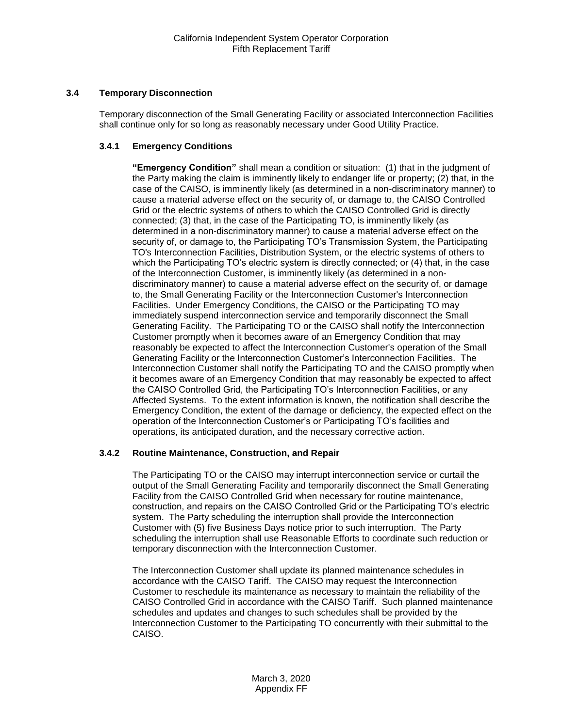# <span id="page-10-0"></span>**3.4 Temporary Disconnection**

Temporary disconnection of the Small Generating Facility or associated Interconnection Facilities shall continue only for so long as reasonably necessary under Good Utility Practice.

# **3.4.1 Emergency Conditions**

**"Emergency Condition"** shall mean a condition or situation: (1) that in the judgment of the Party making the claim is imminently likely to endanger life or property; (2) that, in the case of the CAISO, is imminently likely (as determined in a non-discriminatory manner) to cause a material adverse effect on the security of, or damage to, the CAISO Controlled Grid or the electric systems of others to which the CAISO Controlled Grid is directly connected; (3) that, in the case of the Participating TO, is imminently likely (as determined in a non-discriminatory manner) to cause a material adverse effect on the security of, or damage to, the Participating TO's Transmission System, the Participating TO's Interconnection Facilities, Distribution System, or the electric systems of others to which the Participating TO's electric system is directly connected; or (4) that, in the case of the Interconnection Customer, is imminently likely (as determined in a nondiscriminatory manner) to cause a material adverse effect on the security of, or damage to, the Small Generating Facility or the Interconnection Customer's Interconnection Facilities. Under Emergency Conditions, the CAISO or the Participating TO may immediately suspend interconnection service and temporarily disconnect the Small Generating Facility. The Participating TO or the CAISO shall notify the Interconnection Customer promptly when it becomes aware of an Emergency Condition that may reasonably be expected to affect the Interconnection Customer's operation of the Small Generating Facility or the Interconnection Customer's Interconnection Facilities. The Interconnection Customer shall notify the Participating TO and the CAISO promptly when it becomes aware of an Emergency Condition that may reasonably be expected to affect the CAISO Controlled Grid, the Participating TO's Interconnection Facilities, or any Affected Systems. To the extent information is known, the notification shall describe the Emergency Condition, the extent of the damage or deficiency, the expected effect on the operation of the Interconnection Customer's or Participating TO's facilities and operations, its anticipated duration, and the necessary corrective action.

#### **3.4.2 Routine Maintenance, Construction, and Repair**

The Participating TO or the CAISO may interrupt interconnection service or curtail the output of the Small Generating Facility and temporarily disconnect the Small Generating Facility from the CAISO Controlled Grid when necessary for routine maintenance, construction, and repairs on the CAISO Controlled Grid or the Participating TO's electric system. The Party scheduling the interruption shall provide the Interconnection Customer with (5) five Business Days notice prior to such interruption. The Party scheduling the interruption shall use Reasonable Efforts to coordinate such reduction or temporary disconnection with the Interconnection Customer.

The Interconnection Customer shall update its planned maintenance schedules in accordance with the CAISO Tariff. The CAISO may request the Interconnection Customer to reschedule its maintenance as necessary to maintain the reliability of the CAISO Controlled Grid in accordance with the CAISO Tariff. Such planned maintenance schedules and updates and changes to such schedules shall be provided by the Interconnection Customer to the Participating TO concurrently with their submittal to the CAISO.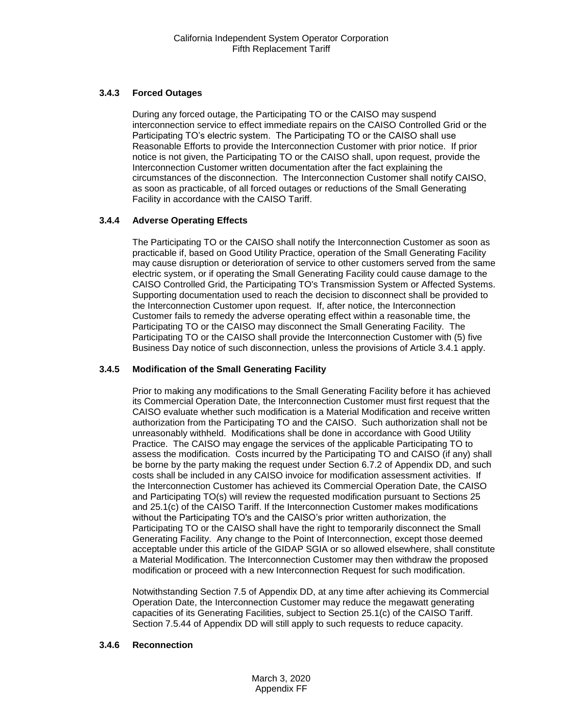# **3.4.3 Forced Outages**

During any forced outage, the Participating TO or the CAISO may suspend interconnection service to effect immediate repairs on the CAISO Controlled Grid or the Participating TO's electric system. The Participating TO or the CAISO shall use Reasonable Efforts to provide the Interconnection Customer with prior notice. If prior notice is not given, the Participating TO or the CAISO shall, upon request, provide the Interconnection Customer written documentation after the fact explaining the circumstances of the disconnection. The Interconnection Customer shall notify CAISO, as soon as practicable, of all forced outages or reductions of the Small Generating Facility in accordance with the CAISO Tariff.

# **3.4.4 Adverse Operating Effects**

The Participating TO or the CAISO shall notify the Interconnection Customer as soon as practicable if, based on Good Utility Practice, operation of the Small Generating Facility may cause disruption or deterioration of service to other customers served from the same electric system, or if operating the Small Generating Facility could cause damage to the CAISO Controlled Grid, the Participating TO's Transmission System or Affected Systems. Supporting documentation used to reach the decision to disconnect shall be provided to the Interconnection Customer upon request. If, after notice, the Interconnection Customer fails to remedy the adverse operating effect within a reasonable time, the Participating TO or the CAISO may disconnect the Small Generating Facility. The Participating TO or the CAISO shall provide the Interconnection Customer with (5) five Business Day notice of such disconnection, unless the provisions of Article 3.4.1 apply.

# **3.4.5 Modification of the Small Generating Facility**

Prior to making any modifications to the Small Generating Facility before it has achieved its Commercial Operation Date, the Interconnection Customer must first request that the CAISO evaluate whether such modification is a Material Modification and receive written authorization from the Participating TO and the CAISO. Such authorization shall not be unreasonably withheld. Modifications shall be done in accordance with Good Utility Practice. The CAISO may engage the services of the applicable Participating TO to assess the modification. Costs incurred by the Participating TO and CAISO (if any) shall be borne by the party making the request under Section 6.7.2 of Appendix DD, and such costs shall be included in any CAISO invoice for modification assessment activities. If the Interconnection Customer has achieved its Commercial Operation Date, the CAISO and Participating TO(s) will review the requested modification pursuant to Sections 25 and 25.1(c) of the CAISO Tariff. If the Interconnection Customer makes modifications without the Participating TO's and the CAISO's prior written authorization, the Participating TO or the CAISO shall have the right to temporarily disconnect the Small Generating Facility. Any change to the Point of Interconnection, except those deemed acceptable under this article of the GIDAP SGIA or so allowed elsewhere, shall constitute a Material Modification. The Interconnection Customer may then withdraw the proposed modification or proceed with a new Interconnection Request for such modification.

Notwithstanding Section 7.5 of Appendix DD, at any time after achieving its Commercial Operation Date, the Interconnection Customer may reduce the megawatt generating capacities of its Generating Facilities, subject to Section 25.1(c) of the CAISO Tariff. Section 7.5.44 of Appendix DD will still apply to such requests to reduce capacity.

# **3.4.6 Reconnection**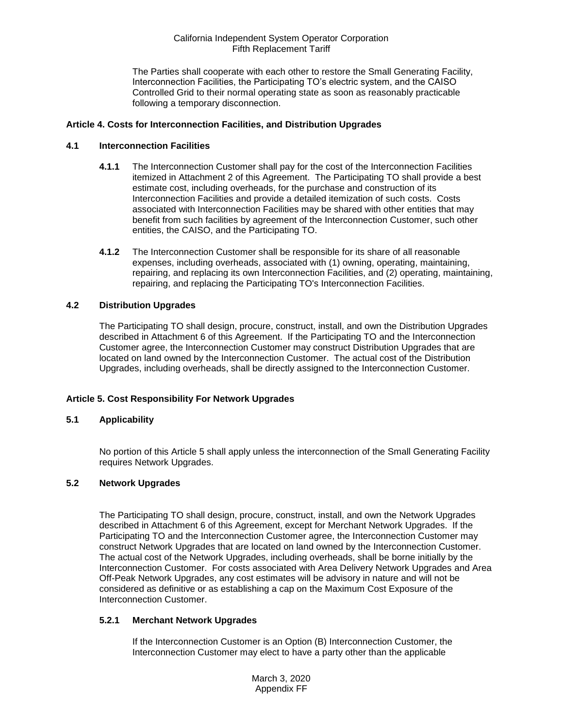The Parties shall cooperate with each other to restore the Small Generating Facility, Interconnection Facilities, the Participating TO's electric system, and the CAISO Controlled Grid to their normal operating state as soon as reasonably practicable following a temporary disconnection.

# <span id="page-12-0"></span>**Article 4. Costs for Interconnection Facilities, and Distribution Upgrades**

#### <span id="page-12-1"></span>**4.1 Interconnection Facilities**

- **4.1.1** The Interconnection Customer shall pay for the cost of the Interconnection Facilities itemized in Attachment 2 of this Agreement. The Participating TO shall provide a best estimate cost, including overheads, for the purchase and construction of its Interconnection Facilities and provide a detailed itemization of such costs. Costs associated with Interconnection Facilities may be shared with other entities that may benefit from such facilities by agreement of the Interconnection Customer, such other entities, the CAISO, and the Participating TO.
- **4.1.2** The Interconnection Customer shall be responsible for its share of all reasonable expenses, including overheads, associated with (1) owning, operating, maintaining, repairing, and replacing its own Interconnection Facilities, and (2) operating, maintaining, repairing, and replacing the Participating TO's Interconnection Facilities.

# <span id="page-12-2"></span>**4.2 Distribution Upgrades**

The Participating TO shall design, procure, construct, install, and own the Distribution Upgrades described in Attachment 6 of this Agreement. If the Participating TO and the Interconnection Customer agree, the Interconnection Customer may construct Distribution Upgrades that are located on land owned by the Interconnection Customer. The actual cost of the Distribution Upgrades, including overheads, shall be directly assigned to the Interconnection Customer.

# **Article 5. Cost Responsibility For Network Upgrades**

#### <span id="page-12-3"></span>**5.1 Applicability**

No portion of this Article 5 shall apply unless the interconnection of the Small Generating Facility requires Network Upgrades.

#### <span id="page-12-4"></span>**5.2 Network Upgrades**

The Participating TO shall design, procure, construct, install, and own the Network Upgrades described in Attachment 6 of this Agreement, except for Merchant Network Upgrades. If the Participating TO and the Interconnection Customer agree, the Interconnection Customer may construct Network Upgrades that are located on land owned by the Interconnection Customer. The actual cost of the Network Upgrades, including overheads, shall be borne initially by the Interconnection Customer. For costs associated with Area Delivery Network Upgrades and Area Off-Peak Network Upgrades, any cost estimates will be advisory in nature and will not be considered as definitive or as establishing a cap on the Maximum Cost Exposure of the Interconnection Customer.

#### **5.2.1 Merchant Network Upgrades**

If the Interconnection Customer is an Option (B) Interconnection Customer, the Interconnection Customer may elect to have a party other than the applicable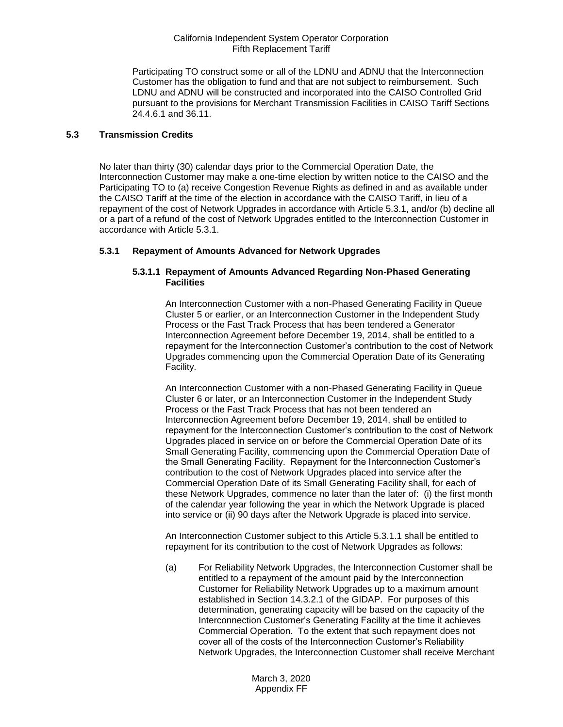Participating TO construct some or all of the LDNU and ADNU that the Interconnection Customer has the obligation to fund and that are not subject to reimbursement. Such LDNU and ADNU will be constructed and incorporated into the CAISO Controlled Grid pursuant to the provisions for Merchant Transmission Facilities in CAISO Tariff Sections 24.4.6.1 and 36.11.

# <span id="page-13-0"></span>**5.3 Transmission Credits**

No later than thirty (30) calendar days prior to the Commercial Operation Date, the Interconnection Customer may make a one-time election by written notice to the CAISO and the Participating TO to (a) receive Congestion Revenue Rights as defined in and as available under the CAISO Tariff at the time of the election in accordance with the CAISO Tariff, in lieu of a repayment of the cost of Network Upgrades in accordance with Article 5.3.1, and/or (b) decline all or a part of a refund of the cost of Network Upgrades entitled to the Interconnection Customer in accordance with Article 5.3.1.

# **5.3.1 Repayment of Amounts Advanced for Network Upgrades**

## **5.3.1.1 Repayment of Amounts Advanced Regarding Non-Phased Generating Facilities**

An Interconnection Customer with a non-Phased Generating Facility in Queue Cluster 5 or earlier, or an Interconnection Customer in the Independent Study Process or the Fast Track Process that has been tendered a Generator Interconnection Agreement before December 19, 2014, shall be entitled to a repayment for the Interconnection Customer's contribution to the cost of Network Upgrades commencing upon the Commercial Operation Date of its Generating Facility.

An Interconnection Customer with a non-Phased Generating Facility in Queue Cluster 6 or later, or an Interconnection Customer in the Independent Study Process or the Fast Track Process that has not been tendered an Interconnection Agreement before December 19, 2014, shall be entitled to repayment for the Interconnection Customer's contribution to the cost of Network Upgrades placed in service on or before the Commercial Operation Date of its Small Generating Facility, commencing upon the Commercial Operation Date of the Small Generating Facility. Repayment for the Interconnection Customer's contribution to the cost of Network Upgrades placed into service after the Commercial Operation Date of its Small Generating Facility shall, for each of these Network Upgrades, commence no later than the later of: (i) the first month of the calendar year following the year in which the Network Upgrade is placed into service or (ii) 90 days after the Network Upgrade is placed into service.

An Interconnection Customer subject to this Article 5.3.1.1 shall be entitled to repayment for its contribution to the cost of Network Upgrades as follows:

(a) For Reliability Network Upgrades, the Interconnection Customer shall be entitled to a repayment of the amount paid by the Interconnection Customer for Reliability Network Upgrades up to a maximum amount established in Section 14.3.2.1 of the GIDAP. For purposes of this determination, generating capacity will be based on the capacity of the Interconnection Customer's Generating Facility at the time it achieves Commercial Operation. To the extent that such repayment does not cover all of the costs of the Interconnection Customer's Reliability Network Upgrades, the Interconnection Customer shall receive Merchant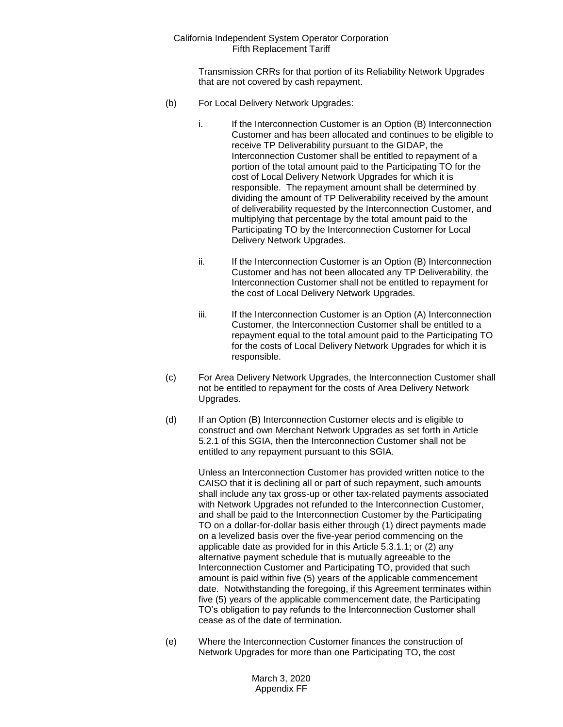Transmission CRRs for that portion of its Reliability Network Upgrades that are not covered by cash repayment.

- (b) For Local Delivery Network Upgrades:
	- i. If the Interconnection Customer is an Option (B) Interconnection Customer and has been allocated and continues to be eligible to receive TP Deliverability pursuant to the GIDAP, the Interconnection Customer shall be entitled to repayment of a portion of the total amount paid to the Participating TO for the cost of Local Delivery Network Upgrades for which it is responsible. The repayment amount shall be determined by dividing the amount of TP Deliverability received by the amount of deliverability requested by the Interconnection Customer, and multiplying that percentage by the total amount paid to the Participating TO by the Interconnection Customer for Local Delivery Network Upgrades.
	- ii. If the Interconnection Customer is an Option (B) Interconnection Customer and has not been allocated any TP Deliverability, the Interconnection Customer shall not be entitled to repayment for the cost of Local Delivery Network Upgrades.
	- iii. If the Interconnection Customer is an Option (A) Interconnection Customer, the Interconnection Customer shall be entitled to a repayment equal to the total amount paid to the Participating TO for the costs of Local Delivery Network Upgrades for which it is responsible.
- (c) For Area Delivery Network Upgrades, the Interconnection Customer shall not be entitled to repayment for the costs of Area Delivery Network Upgrades.
- (d) If an Option (B) Interconnection Customer elects and is eligible to construct and own Merchant Network Upgrades as set forth in Article 5.2.1 of this SGIA, then the Interconnection Customer shall not be entitled to any repayment pursuant to this SGIA.

Unless an Interconnection Customer has provided written notice to the CAISO that it is declining all or part of such repayment, such amounts shall include any tax gross-up or other tax-related payments associated with Network Upgrades not refunded to the Interconnection Customer, and shall be paid to the Interconnection Customer by the Participating TO on a dollar-for-dollar basis either through (1) direct payments made on a levelized basis over the five-year period commencing on the applicable date as provided for in this Article 5.3.1.1; or (2) any alternative payment schedule that is mutually agreeable to the Interconnection Customer and Participating TO, provided that such amount is paid within five (5) years of the applicable commencement date. Notwithstanding the foregoing, if this Agreement terminates within five (5) years of the applicable commencement date, the Participating TO's obligation to pay refunds to the Interconnection Customer shall cease as of the date of termination.

(e) Where the Interconnection Customer finances the construction of Network Upgrades for more than one Participating TO, the cost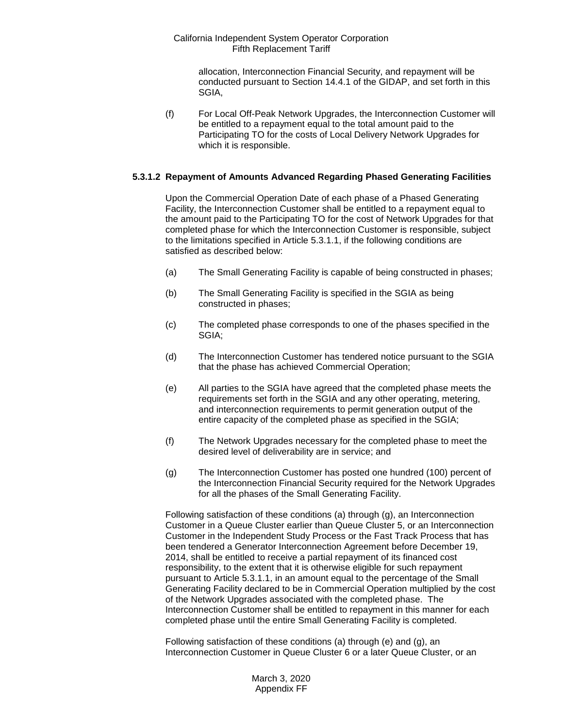allocation, Interconnection Financial Security, and repayment will be conducted pursuant to Section 14.4.1 of the GIDAP, and set forth in this SGIA,

(f) For Local Off-Peak Network Upgrades, the Interconnection Customer will be entitled to a repayment equal to the total amount paid to the Participating TO for the costs of Local Delivery Network Upgrades for which it is responsible.

#### **5.3.1.2 Repayment of Amounts Advanced Regarding Phased Generating Facilities**

Upon the Commercial Operation Date of each phase of a Phased Generating Facility, the Interconnection Customer shall be entitled to a repayment equal to the amount paid to the Participating TO for the cost of Network Upgrades for that completed phase for which the Interconnection Customer is responsible, subject to the limitations specified in Article 5.3.1.1, if the following conditions are satisfied as described below:

- (a) The Small Generating Facility is capable of being constructed in phases;
- (b) The Small Generating Facility is specified in the SGIA as being constructed in phases;
- (c) The completed phase corresponds to one of the phases specified in the SGIA;
- (d) The Interconnection Customer has tendered notice pursuant to the SGIA that the phase has achieved Commercial Operation;
- (e) All parties to the SGIA have agreed that the completed phase meets the requirements set forth in the SGIA and any other operating, metering, and interconnection requirements to permit generation output of the entire capacity of the completed phase as specified in the SGIA;
- (f) The Network Upgrades necessary for the completed phase to meet the desired level of deliverability are in service; and
- (g) The Interconnection Customer has posted one hundred (100) percent of the Interconnection Financial Security required for the Network Upgrades for all the phases of the Small Generating Facility.

Following satisfaction of these conditions (a) through (g), an Interconnection Customer in a Queue Cluster earlier than Queue Cluster 5, or an Interconnection Customer in the Independent Study Process or the Fast Track Process that has been tendered a Generator Interconnection Agreement before December 19, 2014, shall be entitled to receive a partial repayment of its financed cost responsibility, to the extent that it is otherwise eligible for such repayment pursuant to Article 5.3.1.1, in an amount equal to the percentage of the Small Generating Facility declared to be in Commercial Operation multiplied by the cost of the Network Upgrades associated with the completed phase. The Interconnection Customer shall be entitled to repayment in this manner for each completed phase until the entire Small Generating Facility is completed.

Following satisfaction of these conditions (a) through (e) and (g), an Interconnection Customer in Queue Cluster 6 or a later Queue Cluster, or an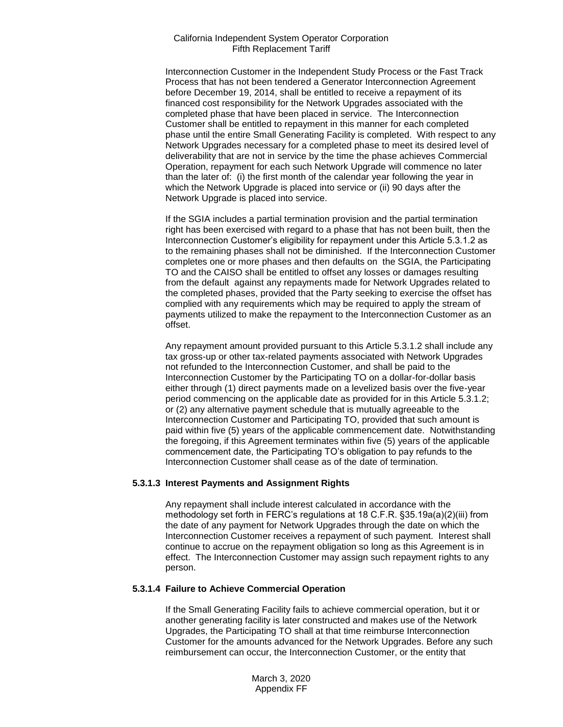Interconnection Customer in the Independent Study Process or the Fast Track Process that has not been tendered a Generator Interconnection Agreement before December 19, 2014, shall be entitled to receive a repayment of its financed cost responsibility for the Network Upgrades associated with the completed phase that have been placed in service. The Interconnection Customer shall be entitled to repayment in this manner for each completed phase until the entire Small Generating Facility is completed. With respect to any Network Upgrades necessary for a completed phase to meet its desired level of deliverability that are not in service by the time the phase achieves Commercial Operation, repayment for each such Network Upgrade will commence no later than the later of: (i) the first month of the calendar year following the year in which the Network Upgrade is placed into service or (ii) 90 days after the Network Upgrade is placed into service.

If the SGIA includes a partial termination provision and the partial termination right has been exercised with regard to a phase that has not been built, then the Interconnection Customer's eligibility for repayment under this Article 5.3.1.2 as to the remaining phases shall not be diminished. If the Interconnection Customer completes one or more phases and then defaults on the SGIA, the Participating TO and the CAISO shall be entitled to offset any losses or damages resulting from the default against any repayments made for Network Upgrades related to the completed phases, provided that the Party seeking to exercise the offset has complied with any requirements which may be required to apply the stream of payments utilized to make the repayment to the Interconnection Customer as an offset.

Any repayment amount provided pursuant to this Article 5.3.1.2 shall include any tax gross-up or other tax-related payments associated with Network Upgrades not refunded to the Interconnection Customer, and shall be paid to the Interconnection Customer by the Participating TO on a dollar-for-dollar basis either through (1) direct payments made on a levelized basis over the five-year period commencing on the applicable date as provided for in this Article 5.3.1.2; or (2) any alternative payment schedule that is mutually agreeable to the Interconnection Customer and Participating TO, provided that such amount is paid within five (5) years of the applicable commencement date. Notwithstanding the foregoing, if this Agreement terminates within five (5) years of the applicable commencement date, the Participating TO's obligation to pay refunds to the Interconnection Customer shall cease as of the date of termination.

#### **5.3.1.3 Interest Payments and Assignment Rights**

Any repayment shall include interest calculated in accordance with the methodology set forth in FERC's regulations at 18 C.F.R. §35.19a(a)(2)(iii) from the date of any payment for Network Upgrades through the date on which the Interconnection Customer receives a repayment of such payment. Interest shall continue to accrue on the repayment obligation so long as this Agreement is in effect. The Interconnection Customer may assign such repayment rights to any person.

#### **5.3.1.4 Failure to Achieve Commercial Operation**

If the Small Generating Facility fails to achieve commercial operation, but it or another generating facility is later constructed and makes use of the Network Upgrades, the Participating TO shall at that time reimburse Interconnection Customer for the amounts advanced for the Network Upgrades. Before any such reimbursement can occur, the Interconnection Customer, or the entity that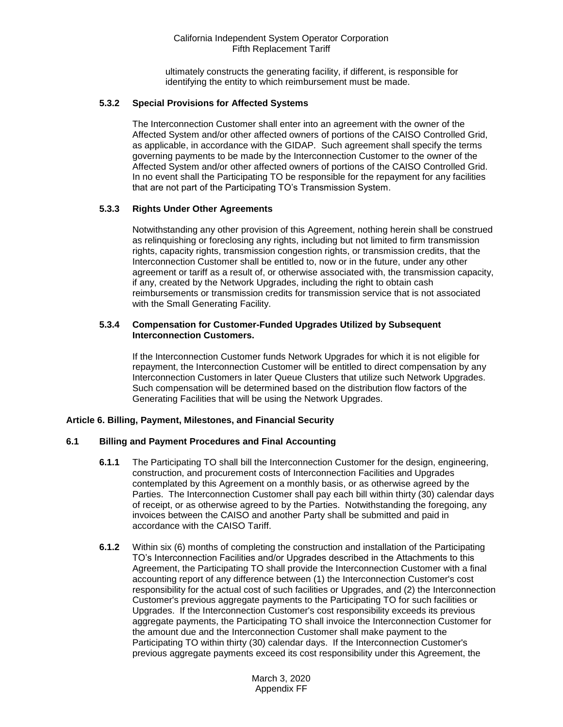ultimately constructs the generating facility, if different, is responsible for identifying the entity to which reimbursement must be made.

# **5.3.2 Special Provisions for Affected Systems**

The Interconnection Customer shall enter into an agreement with the owner of the Affected System and/or other affected owners of portions of the CAISO Controlled Grid, as applicable, in accordance with the GIDAP. Such agreement shall specify the terms governing payments to be made by the Interconnection Customer to the owner of the Affected System and/or other affected owners of portions of the CAISO Controlled Grid. In no event shall the Participating TO be responsible for the repayment for any facilities that are not part of the Participating TO's Transmission System.

# **5.3.3 Rights Under Other Agreements**

Notwithstanding any other provision of this Agreement, nothing herein shall be construed as relinquishing or foreclosing any rights, including but not limited to firm transmission rights, capacity rights, transmission congestion rights, or transmission credits, that the Interconnection Customer shall be entitled to, now or in the future, under any other agreement or tariff as a result of, or otherwise associated with, the transmission capacity, if any, created by the Network Upgrades, including the right to obtain cash reimbursements or transmission credits for transmission service that is not associated with the Small Generating Facility.

#### **5.3.4 Compensation for Customer-Funded Upgrades Utilized by Subsequent Interconnection Customers.**

If the Interconnection Customer funds Network Upgrades for which it is not eligible for repayment, the Interconnection Customer will be entitled to direct compensation by any Interconnection Customers in later Queue Clusters that utilize such Network Upgrades. Such compensation will be determined based on the distribution flow factors of the Generating Facilities that will be using the Network Upgrades.

#### <span id="page-17-0"></span>**Article 6. Billing, Payment, Milestones, and Financial Security**

#### <span id="page-17-1"></span>**6.1 Billing and Payment Procedures and Final Accounting**

- **6.1.1** The Participating TO shall bill the Interconnection Customer for the design, engineering, construction, and procurement costs of Interconnection Facilities and Upgrades contemplated by this Agreement on a monthly basis, or as otherwise agreed by the Parties. The Interconnection Customer shall pay each bill within thirty (30) calendar days of receipt, or as otherwise agreed to by the Parties. Notwithstanding the foregoing, any invoices between the CAISO and another Party shall be submitted and paid in accordance with the CAISO Tariff.
- **6.1.2** Within six (6) months of completing the construction and installation of the Participating TO's Interconnection Facilities and/or Upgrades described in the Attachments to this Agreement, the Participating TO shall provide the Interconnection Customer with a final accounting report of any difference between (1) the Interconnection Customer's cost responsibility for the actual cost of such facilities or Upgrades, and (2) the Interconnection Customer's previous aggregate payments to the Participating TO for such facilities or Upgrades. If the Interconnection Customer's cost responsibility exceeds its previous aggregate payments, the Participating TO shall invoice the Interconnection Customer for the amount due and the Interconnection Customer shall make payment to the Participating TO within thirty (30) calendar days. If the Interconnection Customer's previous aggregate payments exceed its cost responsibility under this Agreement, the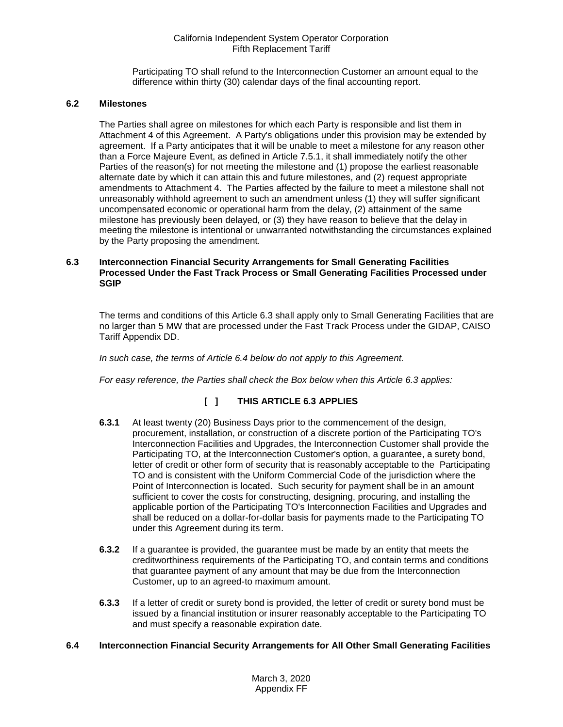Participating TO shall refund to the Interconnection Customer an amount equal to the difference within thirty (30) calendar days of the final accounting report.

# <span id="page-18-0"></span>**6.2 Milestones**

The Parties shall agree on milestones for which each Party is responsible and list them in Attachment 4 of this Agreement. A Party's obligations under this provision may be extended by agreement. If a Party anticipates that it will be unable to meet a milestone for any reason other than a Force Majeure Event, as defined in Article 7.5.1, it shall immediately notify the other Parties of the reason(s) for not meeting the milestone and (1) propose the earliest reasonable alternate date by which it can attain this and future milestones, and (2) request appropriate amendments to Attachment 4. The Parties affected by the failure to meet a milestone shall not unreasonably withhold agreement to such an amendment unless (1) they will suffer significant uncompensated economic or operational harm from the delay, (2) attainment of the same milestone has previously been delayed, or (3) they have reason to believe that the delay in meeting the milestone is intentional or unwarranted notwithstanding the circumstances explained by the Party proposing the amendment.

#### <span id="page-18-1"></span>**6.3 Interconnection Financial Security Arrangements for Small Generating Facilities Processed Under the Fast Track Process or Small Generating Facilities Processed under SGIP**

The terms and conditions of this Article 6.3 shall apply only to Small Generating Facilities that are no larger than 5 MW that are processed under the Fast Track Process under the GIDAP, CAISO Tariff Appendix DD.

*In such case, the terms of Article 6.4 below do not apply to this Agreement.*

*For easy reference, the Parties shall check the Box below when this Article 6.3 applies:* 

# **[ ] THIS ARTICLE 6.3 APPLIES**

- **6.3.1** At least twenty (20) Business Days prior to the commencement of the design, procurement, installation, or construction of a discrete portion of the Participating TO's Interconnection Facilities and Upgrades, the Interconnection Customer shall provide the Participating TO, at the Interconnection Customer's option, a guarantee, a surety bond, letter of credit or other form of security that is reasonably acceptable to the Participating TO and is consistent with the Uniform Commercial Code of the jurisdiction where the Point of Interconnection is located. Such security for payment shall be in an amount sufficient to cover the costs for constructing, designing, procuring, and installing the applicable portion of the Participating TO's Interconnection Facilities and Upgrades and shall be reduced on a dollar-for-dollar basis for payments made to the Participating TO under this Agreement during its term.
- **6.3.2** If a guarantee is provided, the guarantee must be made by an entity that meets the creditworthiness requirements of the Participating TO, and contain terms and conditions that guarantee payment of any amount that may be due from the Interconnection Customer, up to an agreed-to maximum amount.
- **6.3.3** If a letter of credit or surety bond is provided, the letter of credit or surety bond must be issued by a financial institution or insurer reasonably acceptable to the Participating TO and must specify a reasonable expiration date.

# <span id="page-18-2"></span>**6.4 Interconnection Financial Security Arrangements for All Other Small Generating Facilities**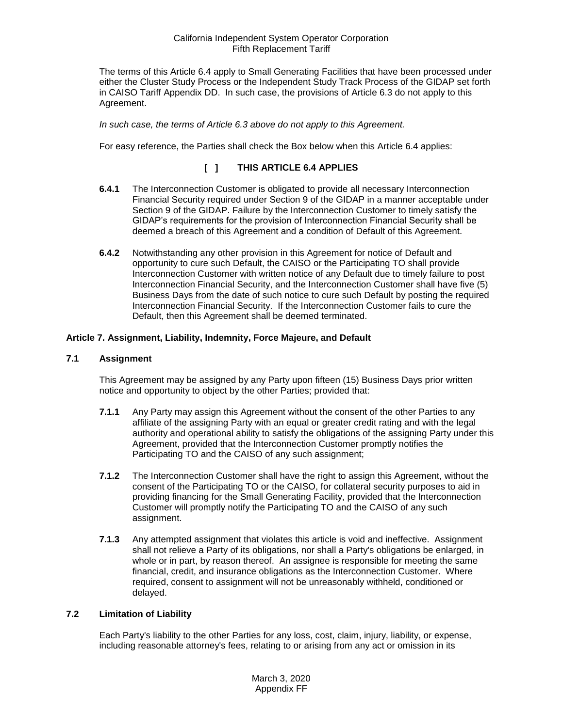The terms of this Article 6.4 apply to Small Generating Facilities that have been processed under either the Cluster Study Process or the Independent Study Track Process of the GIDAP set forth in CAISO Tariff Appendix DD. In such case, the provisions of Article 6.3 do not apply to this Agreement.

*In such case, the terms of Article 6.3 above do not apply to this Agreement.* 

For easy reference, the Parties shall check the Box below when this Article 6.4 applies:

# **[ ] THIS ARTICLE 6.4 APPLIES**

- **6.4.1** The Interconnection Customer is obligated to provide all necessary Interconnection Financial Security required under Section 9 of the GIDAP in a manner acceptable under Section 9 of the GIDAP. Failure by the Interconnection Customer to timely satisfy the GIDAP's requirements for the provision of Interconnection Financial Security shall be deemed a breach of this Agreement and a condition of Default of this Agreement.
- **6.4.2** Notwithstanding any other provision in this Agreement for notice of Default and opportunity to cure such Default, the CAISO or the Participating TO shall provide Interconnection Customer with written notice of any Default due to timely failure to post Interconnection Financial Security, and the Interconnection Customer shall have five (5) Business Days from the date of such notice to cure such Default by posting the required Interconnection Financial Security. If the Interconnection Customer fails to cure the Default, then this Agreement shall be deemed terminated.

# <span id="page-19-0"></span>**Article 7. Assignment, Liability, Indemnity, Force Majeure, and Default**

#### <span id="page-19-1"></span>**7.1 Assignment**

This Agreement may be assigned by any Party upon fifteen (15) Business Days prior written notice and opportunity to object by the other Parties; provided that:

- **7.1.1** Any Party may assign this Agreement without the consent of the other Parties to any affiliate of the assigning Party with an equal or greater credit rating and with the legal authority and operational ability to satisfy the obligations of the assigning Party under this Agreement, provided that the Interconnection Customer promptly notifies the Participating TO and the CAISO of any such assignment;
- **7.1.2** The Interconnection Customer shall have the right to assign this Agreement, without the consent of the Participating TO or the CAISO, for collateral security purposes to aid in providing financing for the Small Generating Facility, provided that the Interconnection Customer will promptly notify the Participating TO and the CAISO of any such assignment.
- **7.1.3** Any attempted assignment that violates this article is void and ineffective. Assignment shall not relieve a Party of its obligations, nor shall a Party's obligations be enlarged, in whole or in part, by reason thereof. An assignee is responsible for meeting the same financial, credit, and insurance obligations as the Interconnection Customer. Where required, consent to assignment will not be unreasonably withheld, conditioned or delayed.

#### <span id="page-19-2"></span>**7.2 Limitation of Liability**

Each Party's liability to the other Parties for any loss, cost, claim, injury, liability, or expense, including reasonable attorney's fees, relating to or arising from any act or omission in its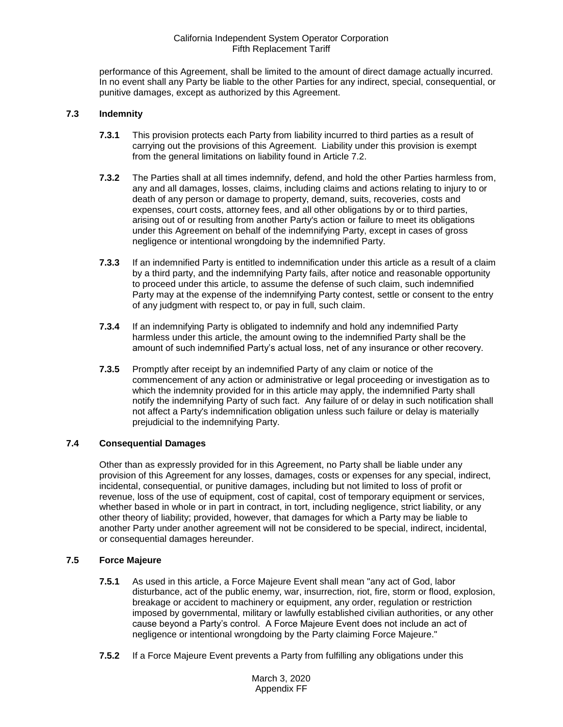performance of this Agreement, shall be limited to the amount of direct damage actually incurred. In no event shall any Party be liable to the other Parties for any indirect, special, consequential, or punitive damages, except as authorized by this Agreement.

# <span id="page-20-0"></span>**7.3 Indemnity**

- **7.3.1** This provision protects each Party from liability incurred to third parties as a result of carrying out the provisions of this Agreement. Liability under this provision is exempt from the general limitations on liability found in Article 7.2.
- **7.3.2** The Parties shall at all times indemnify, defend, and hold the other Parties harmless from, any and all damages, losses, claims, including claims and actions relating to injury to or death of any person or damage to property, demand, suits, recoveries, costs and expenses, court costs, attorney fees, and all other obligations by or to third parties, arising out of or resulting from another Party's action or failure to meet its obligations under this Agreement on behalf of the indemnifying Party, except in cases of gross negligence or intentional wrongdoing by the indemnified Party.
- **7.3.3** If an indemnified Party is entitled to indemnification under this article as a result of a claim by a third party, and the indemnifying Party fails, after notice and reasonable opportunity to proceed under this article, to assume the defense of such claim, such indemnified Party may at the expense of the indemnifying Party contest, settle or consent to the entry of any judgment with respect to, or pay in full, such claim.
- **7.3.4** If an indemnifying Party is obligated to indemnify and hold any indemnified Party harmless under this article, the amount owing to the indemnified Party shall be the amount of such indemnified Party's actual loss, net of any insurance or other recovery.
- **7.3.5** Promptly after receipt by an indemnified Party of any claim or notice of the commencement of any action or administrative or legal proceeding or investigation as to which the indemnity provided for in this article may apply, the indemnified Party shall notify the indemnifying Party of such fact. Any failure of or delay in such notification shall not affect a Party's indemnification obligation unless such failure or delay is materially prejudicial to the indemnifying Party.

#### <span id="page-20-1"></span>**7.4 Consequential Damages**

Other than as expressly provided for in this Agreement, no Party shall be liable under any provision of this Agreement for any losses, damages, costs or expenses for any special, indirect, incidental, consequential, or punitive damages, including but not limited to loss of profit or revenue, loss of the use of equipment, cost of capital, cost of temporary equipment or services, whether based in whole or in part in contract, in tort, including negligence, strict liability, or any other theory of liability; provided, however, that damages for which a Party may be liable to another Party under another agreement will not be considered to be special, indirect, incidental, or consequential damages hereunder.

# <span id="page-20-2"></span>**7.5 Force Majeure**

- **7.5.1** As used in this article, a Force Majeure Event shall mean "any act of God, labor disturbance, act of the public enemy, war, insurrection, riot, fire, storm or flood, explosion, breakage or accident to machinery or equipment, any order, regulation or restriction imposed by governmental, military or lawfully established civilian authorities, or any other cause beyond a Party's control. A Force Majeure Event does not include an act of negligence or intentional wrongdoing by the Party claiming Force Majeure."
- **7.5.2** If a Force Majeure Event prevents a Party from fulfilling any obligations under this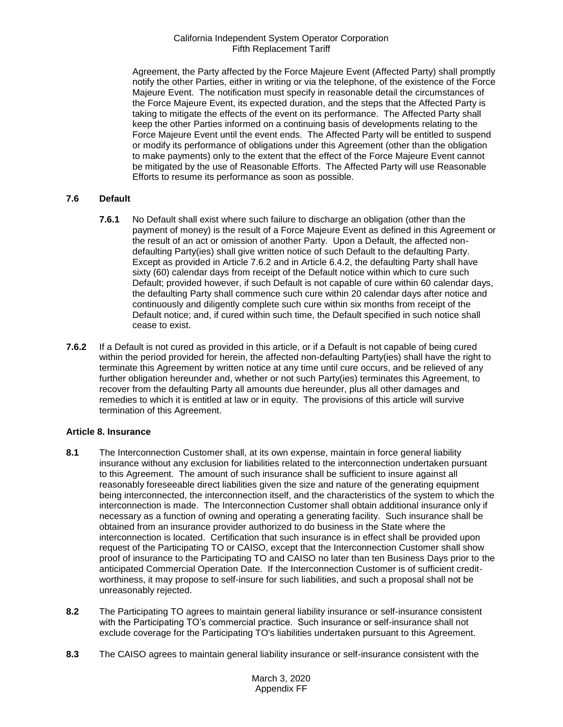Agreement, the Party affected by the Force Majeure Event (Affected Party) shall promptly notify the other Parties, either in writing or via the telephone, of the existence of the Force Majeure Event. The notification must specify in reasonable detail the circumstances of the Force Majeure Event, its expected duration, and the steps that the Affected Party is taking to mitigate the effects of the event on its performance. The Affected Party shall keep the other Parties informed on a continuing basis of developments relating to the Force Majeure Event until the event ends. The Affected Party will be entitled to suspend or modify its performance of obligations under this Agreement (other than the obligation to make payments) only to the extent that the effect of the Force Majeure Event cannot be mitigated by the use of Reasonable Efforts. The Affected Party will use Reasonable Efforts to resume its performance as soon as possible.

# <span id="page-21-0"></span>**7.6 Default**

- **7.6.1** No Default shall exist where such failure to discharge an obligation (other than the payment of money) is the result of a Force Majeure Event as defined in this Agreement or the result of an act or omission of another Party. Upon a Default, the affected nondefaulting Party(ies) shall give written notice of such Default to the defaulting Party. Except as provided in Article 7.6.2 and in Article 6.4.2, the defaulting Party shall have sixty (60) calendar days from receipt of the Default notice within which to cure such Default; provided however, if such Default is not capable of cure within 60 calendar days, the defaulting Party shall commence such cure within 20 calendar days after notice and continuously and diligently complete such cure within six months from receipt of the Default notice; and, if cured within such time, the Default specified in such notice shall cease to exist.
- **7.6.2** If a Default is not cured as provided in this article, or if a Default is not capable of being cured within the period provided for herein, the affected non-defaulting Party(ies) shall have the right to terminate this Agreement by written notice at any time until cure occurs, and be relieved of any further obligation hereunder and, whether or not such Party(ies) terminates this Agreement, to recover from the defaulting Party all amounts due hereunder, plus all other damages and remedies to which it is entitled at law or in equity. The provisions of this article will survive termination of this Agreement.

#### <span id="page-21-1"></span>**Article 8. Insurance**

- <span id="page-21-2"></span>**8.1** The Interconnection Customer shall, at its own expense, maintain in force general liability insurance without any exclusion for liabilities related to the interconnection undertaken pursuant to this Agreement. The amount of such insurance shall be sufficient to insure against all reasonably foreseeable direct liabilities given the size and nature of the generating equipment being interconnected, the interconnection itself, and the characteristics of the system to which the interconnection is made. The Interconnection Customer shall obtain additional insurance only if necessary as a function of owning and operating a generating facility. Such insurance shall be obtained from an insurance provider authorized to do business in the State where the interconnection is located. Certification that such insurance is in effect shall be provided upon request of the Participating TO or CAISO, except that the Interconnection Customer shall show proof of insurance to the Participating TO and CAISO no later than ten Business Days prior to the anticipated Commercial Operation Date. If the Interconnection Customer is of sufficient creditworthiness, it may propose to self-insure for such liabilities, and such a proposal shall not be unreasonably rejected.
- <span id="page-21-3"></span>**8.2** The Participating TO agrees to maintain general liability insurance or self-insurance consistent with the Participating TO's commercial practice. Such insurance or self-insurance shall not exclude coverage for the Participating TO's liabilities undertaken pursuant to this Agreement.
- <span id="page-21-4"></span>**8.3** The CAISO agrees to maintain general liability insurance or self-insurance consistent with the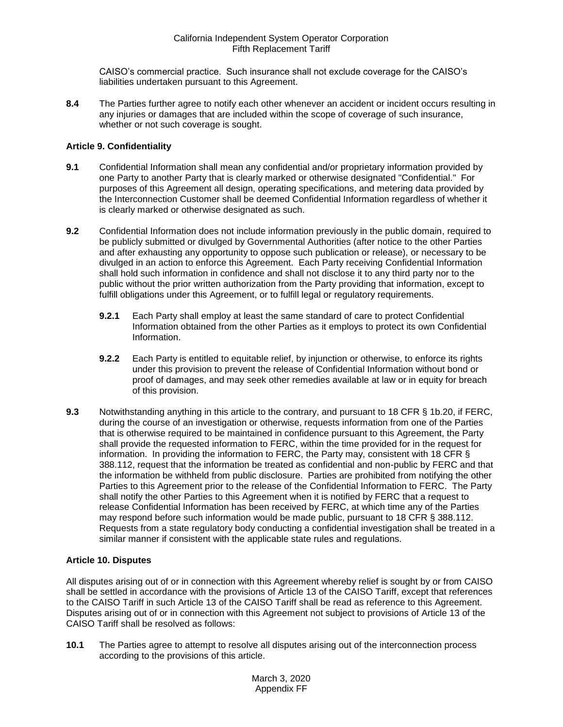CAISO's commercial practice. Such insurance shall not exclude coverage for the CAISO's liabilities undertaken pursuant to this Agreement.

<span id="page-22-0"></span>**8.4** The Parties further agree to notify each other whenever an accident or incident occurs resulting in any injuries or damages that are included within the scope of coverage of such insurance, whether or not such coverage is sought.

# <span id="page-22-1"></span>**Article 9. Confidentiality**

- <span id="page-22-2"></span>**9.1** Confidential Information shall mean any confidential and/or proprietary information provided by one Party to another Party that is clearly marked or otherwise designated "Confidential." For purposes of this Agreement all design, operating specifications, and metering data provided by the Interconnection Customer shall be deemed Confidential Information regardless of whether it is clearly marked or otherwise designated as such.
- <span id="page-22-3"></span>**9.2** Confidential Information does not include information previously in the public domain, required to be publicly submitted or divulged by Governmental Authorities (after notice to the other Parties and after exhausting any opportunity to oppose such publication or release), or necessary to be divulged in an action to enforce this Agreement. Each Party receiving Confidential Information shall hold such information in confidence and shall not disclose it to any third party nor to the public without the prior written authorization from the Party providing that information, except to fulfill obligations under this Agreement, or to fulfill legal or regulatory requirements.
	- **9.2.1** Each Party shall employ at least the same standard of care to protect Confidential Information obtained from the other Parties as it employs to protect its own Confidential Information.
	- **9.2.2** Each Party is entitled to equitable relief, by injunction or otherwise, to enforce its rights under this provision to prevent the release of Confidential Information without bond or proof of damages, and may seek other remedies available at law or in equity for breach of this provision.
- <span id="page-22-4"></span>**9.3** Notwithstanding anything in this article to the contrary, and pursuant to 18 CFR § 1b.20, if FERC, during the course of an investigation or otherwise, requests information from one of the Parties that is otherwise required to be maintained in confidence pursuant to this Agreement, the Party shall provide the requested information to FERC, within the time provided for in the request for information. In providing the information to FERC, the Party may, consistent with 18 CFR § 388.112, request that the information be treated as confidential and non-public by FERC and that the information be withheld from public disclosure. Parties are prohibited from notifying the other Parties to this Agreement prior to the release of the Confidential Information to FERC. The Party shall notify the other Parties to this Agreement when it is notified by FERC that a request to release Confidential Information has been received by FERC, at which time any of the Parties may respond before such information would be made public, pursuant to 18 CFR § 388.112. Requests from a state regulatory body conducting a confidential investigation shall be treated in a similar manner if consistent with the applicable state rules and regulations.

# <span id="page-22-5"></span>**Article 10. Disputes**

All disputes arising out of or in connection with this Agreement whereby relief is sought by or from CAISO shall be settled in accordance with the provisions of Article 13 of the CAISO Tariff, except that references to the CAISO Tariff in such Article 13 of the CAISO Tariff shall be read as reference to this Agreement. Disputes arising out of or in connection with this Agreement not subject to provisions of Article 13 of the CAISO Tariff shall be resolved as follows:

<span id="page-22-6"></span>**10.1** The Parties agree to attempt to resolve all disputes arising out of the interconnection process according to the provisions of this article.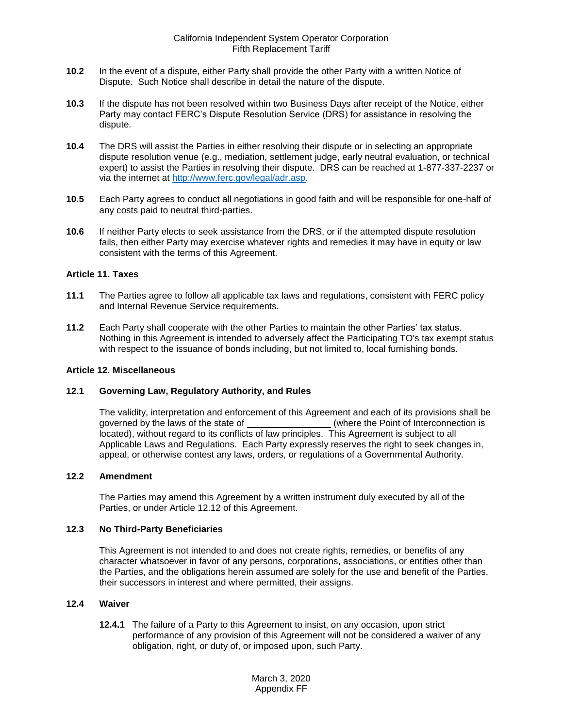- <span id="page-23-0"></span>**10.2** In the event of a dispute, either Party shall provide the other Party with a written Notice of Dispute. Such Notice shall describe in detail the nature of the dispute.
- <span id="page-23-1"></span>**10.3** If the dispute has not been resolved within two Business Days after receipt of the Notice, either Party may contact FERC's Dispute Resolution Service (DRS) for assistance in resolving the dispute.
- <span id="page-23-2"></span>**10.4** The DRS will assist the Parties in either resolving their dispute or in selecting an appropriate dispute resolution venue (e.g., mediation, settlement judge, early neutral evaluation, or technical expert) to assist the Parties in resolving their dispute. DRS can be reached at 1-877-337-2237 or via the internet at [http://www.ferc.gov/legal/adr.asp.](http://www.ferc.gov/legal/adr.asp)
- <span id="page-23-3"></span>**10.5** Each Party agrees to conduct all negotiations in good faith and will be responsible for one-half of any costs paid to neutral third-parties.
- <span id="page-23-4"></span>**10.6** If neither Party elects to seek assistance from the DRS, or if the attempted dispute resolution fails, then either Party may exercise whatever rights and remedies it may have in equity or law consistent with the terms of this Agreement.

#### <span id="page-23-5"></span>**Article 11. Taxes**

- <span id="page-23-6"></span>**11.1** The Parties agree to follow all applicable tax laws and regulations, consistent with FERC policy and Internal Revenue Service requirements.
- <span id="page-23-7"></span>**11.2** Each Party shall cooperate with the other Parties to maintain the other Parties' tax status. Nothing in this Agreement is intended to adversely affect the Participating TO's tax exempt status with respect to the issuance of bonds including, but not limited to, local furnishing bonds.

#### <span id="page-23-8"></span>**Article 12. Miscellaneous**

#### <span id="page-23-9"></span>**12.1 Governing Law, Regulatory Authority, and Rules**

The validity, interpretation and enforcement of this Agreement and each of its provisions shall be governed by the laws of the state of \_\_\_\_\_\_\_\_\_\_\_\_\_\_\_\_\_\_\_\_(where the Point of Interconnection is located), without regard to its conflicts of law principles. This Agreement is subject to all Applicable Laws and Regulations. Each Party expressly reserves the right to seek changes in, appeal, or otherwise contest any laws, orders, or regulations of a Governmental Authority.

#### <span id="page-23-10"></span>**12.2 Amendment**

The Parties may amend this Agreement by a written instrument duly executed by all of the Parties, or under Article 12.12 of this Agreement.

#### <span id="page-23-11"></span>**12.3 No Third-Party Beneficiaries**

This Agreement is not intended to and does not create rights, remedies, or benefits of any character whatsoever in favor of any persons, corporations, associations, or entities other than the Parties, and the obligations herein assumed are solely for the use and benefit of the Parties, their successors in interest and where permitted, their assigns.

#### <span id="page-23-12"></span>**12.4 Waiver**

**12.4.1** The failure of a Party to this Agreement to insist, on any occasion, upon strict performance of any provision of this Agreement will not be considered a waiver of any obligation, right, or duty of, or imposed upon, such Party.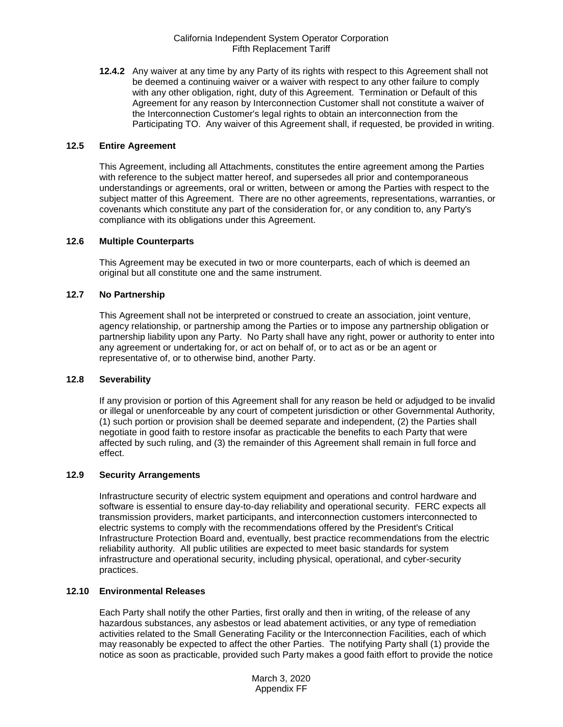**12.4.2** Any waiver at any time by any Party of its rights with respect to this Agreement shall not be deemed a continuing waiver or a waiver with respect to any other failure to comply with any other obligation, right, duty of this Agreement. Termination or Default of this Agreement for any reason by Interconnection Customer shall not constitute a waiver of the Interconnection Customer's legal rights to obtain an interconnection from the Participating TO. Any waiver of this Agreement shall, if requested, be provided in writing.

#### <span id="page-24-0"></span>**12.5 Entire Agreement**

This Agreement, including all Attachments, constitutes the entire agreement among the Parties with reference to the subject matter hereof, and supersedes all prior and contemporaneous understandings or agreements, oral or written, between or among the Parties with respect to the subject matter of this Agreement. There are no other agreements, representations, warranties, or covenants which constitute any part of the consideration for, or any condition to, any Party's compliance with its obligations under this Agreement.

#### <span id="page-24-1"></span>**12.6 Multiple Counterparts**

This Agreement may be executed in two or more counterparts, each of which is deemed an original but all constitute one and the same instrument.

#### <span id="page-24-2"></span>**12.7 No Partnership**

This Agreement shall not be interpreted or construed to create an association, joint venture, agency relationship, or partnership among the Parties or to impose any partnership obligation or partnership liability upon any Party. No Party shall have any right, power or authority to enter into any agreement or undertaking for, or act on behalf of, or to act as or be an agent or representative of, or to otherwise bind, another Party.

#### <span id="page-24-3"></span>**12.8 Severability**

If any provision or portion of this Agreement shall for any reason be held or adjudged to be invalid or illegal or unenforceable by any court of competent jurisdiction or other Governmental Authority, (1) such portion or provision shall be deemed separate and independent, (2) the Parties shall negotiate in good faith to restore insofar as practicable the benefits to each Party that were affected by such ruling, and (3) the remainder of this Agreement shall remain in full force and effect.

# <span id="page-24-4"></span>**12.9 Security Arrangements**

Infrastructure security of electric system equipment and operations and control hardware and software is essential to ensure day-to-day reliability and operational security. FERC expects all transmission providers, market participants, and interconnection customers interconnected to electric systems to comply with the recommendations offered by the President's Critical Infrastructure Protection Board and, eventually, best practice recommendations from the electric reliability authority. All public utilities are expected to meet basic standards for system infrastructure and operational security, including physical, operational, and cyber-security practices.

#### <span id="page-24-5"></span>**12.10 Environmental Releases**

Each Party shall notify the other Parties, first orally and then in writing, of the release of any hazardous substances, any asbestos or lead abatement activities, or any type of remediation activities related to the Small Generating Facility or the Interconnection Facilities, each of which may reasonably be expected to affect the other Parties. The notifying Party shall (1) provide the notice as soon as practicable, provided such Party makes a good faith effort to provide the notice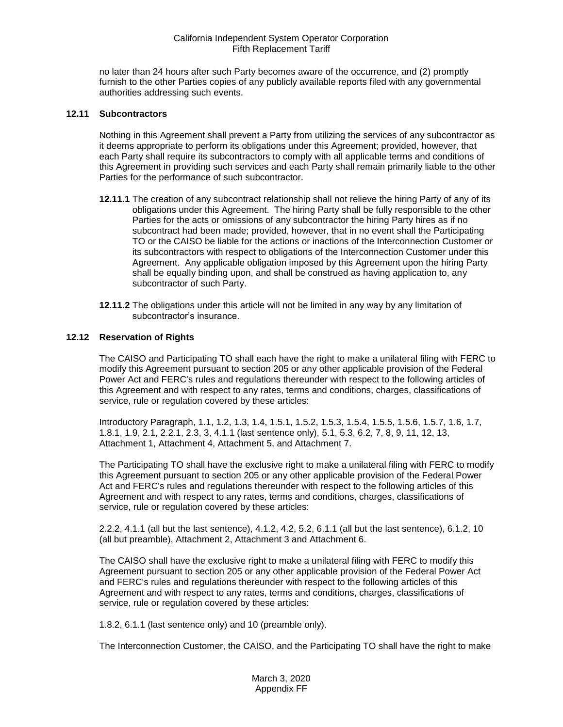no later than 24 hours after such Party becomes aware of the occurrence, and (2) promptly furnish to the other Parties copies of any publicly available reports filed with any governmental authorities addressing such events.

#### <span id="page-25-0"></span>**12.11 Subcontractors**

Nothing in this Agreement shall prevent a Party from utilizing the services of any subcontractor as it deems appropriate to perform its obligations under this Agreement; provided, however, that each Party shall require its subcontractors to comply with all applicable terms and conditions of this Agreement in providing such services and each Party shall remain primarily liable to the other Parties for the performance of such subcontractor.

- **12.11.1** The creation of any subcontract relationship shall not relieve the hiring Party of any of its obligations under this Agreement. The hiring Party shall be fully responsible to the other Parties for the acts or omissions of any subcontractor the hiring Party hires as if no subcontract had been made; provided, however, that in no event shall the Participating TO or the CAISO be liable for the actions or inactions of the Interconnection Customer or its subcontractors with respect to obligations of the Interconnection Customer under this Agreement. Any applicable obligation imposed by this Agreement upon the hiring Party shall be equally binding upon, and shall be construed as having application to, any subcontractor of such Party.
- **12.11.2** The obligations under this article will not be limited in any way by any limitation of subcontractor's insurance.

#### <span id="page-25-1"></span>**12.12 Reservation of Rights**

The CAISO and Participating TO shall each have the right to make a unilateral filing with FERC to modify this Agreement pursuant to section 205 or any other applicable provision of the Federal Power Act and FERC's rules and regulations thereunder with respect to the following articles of this Agreement and with respect to any rates, terms and conditions, charges, classifications of service, rule or regulation covered by these articles:

Introductory Paragraph, 1.1, 1.2, 1.3, 1.4, 1.5.1, 1.5.2, 1.5.3, 1.5.4, 1.5.5, 1.5.6, 1.5.7, 1.6, 1.7, 1.8.1, 1.9, 2.1, 2.2.1, 2.3, 3, 4.1.1 (last sentence only), 5.1, 5.3, 6.2, 7, 8, 9, 11, 12, 13, Attachment 1, Attachment 4, Attachment 5, and Attachment 7.

The Participating TO shall have the exclusive right to make a unilateral filing with FERC to modify this Agreement pursuant to section 205 or any other applicable provision of the Federal Power Act and FERC's rules and regulations thereunder with respect to the following articles of this Agreement and with respect to any rates, terms and conditions, charges, classifications of service, rule or regulation covered by these articles:

2.2.2, 4.1.1 (all but the last sentence), 4.1.2, 4.2, 5.2, 6.1.1 (all but the last sentence), 6.1.2, 10 (all but preamble), Attachment 2, Attachment 3 and Attachment 6.

The CAISO shall have the exclusive right to make a unilateral filing with FERC to modify this Agreement pursuant to section 205 or any other applicable provision of the Federal Power Act and FERC's rules and regulations thereunder with respect to the following articles of this Agreement and with respect to any rates, terms and conditions, charges, classifications of service, rule or regulation covered by these articles:

1.8.2, 6.1.1 (last sentence only) and 10 (preamble only).

The Interconnection Customer, the CAISO, and the Participating TO shall have the right to make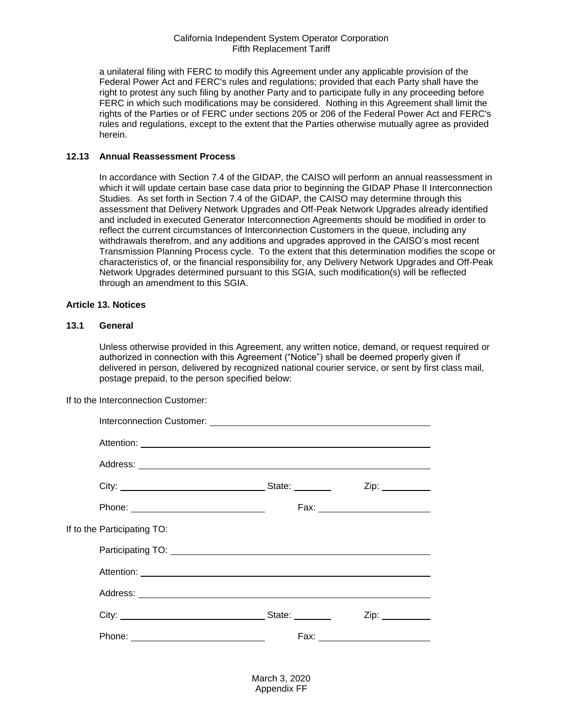a unilateral filing with FERC to modify this Agreement under any applicable provision of the Federal Power Act and FERC's rules and regulations; provided that each Party shall have the right to protest any such filing by another Party and to participate fully in any proceeding before FERC in which such modifications may be considered. Nothing in this Agreement shall limit the rights of the Parties or of FERC under sections 205 or 206 of the Federal Power Act and FERC's rules and regulations, except to the extent that the Parties otherwise mutually agree as provided herein.

#### <span id="page-26-0"></span>**12.13 Annual Reassessment Process**

In accordance with Section 7.4 of the GIDAP, the CAISO will perform an annual reassessment in which it will update certain base case data prior to beginning the GIDAP Phase II Interconnection Studies. As set forth in Section 7.4 of the GIDAP, the CAISO may determine through this assessment that Delivery Network Upgrades and Off-Peak Network Upgrades already identified and included in executed Generator Interconnection Agreements should be modified in order to reflect the current circumstances of Interconnection Customers in the queue, including any withdrawals therefrom, and any additions and upgrades approved in the CAISO's most recent Transmission Planning Process cycle. To the extent that this determination modifies the scope or characteristics of, or the financial responsibility for, any Delivery Network Upgrades and Off-Peak Network Upgrades determined pursuant to this SGIA, such modification(s) will be reflected through an amendment to this SGIA.

#### <span id="page-26-1"></span>**Article 13. Notices**

#### <span id="page-26-2"></span>**13.1 General**

Unless otherwise provided in this Agreement, any written notice, demand, or request required or authorized in connection with this Agreement ("Notice") shall be deemed properly given if delivered in person, delivered by recognized national courier service, or sent by first class mail, postage prepaid, to the person specified below:

If to the Interconnection Customer:

|                                             | Interconnection Customer: <u>contained and contained</u> and contained a late of the late of the late of the late of the |                                                                   |  |
|---------------------------------------------|--------------------------------------------------------------------------------------------------------------------------|-------------------------------------------------------------------|--|
|                                             |                                                                                                                          |                                                                   |  |
|                                             |                                                                                                                          |                                                                   |  |
|                                             |                                                                                                                          | Zip:                                                              |  |
|                                             |                                                                                                                          | Fax: __________________________                                   |  |
| If to the Participating TO:                 |                                                                                                                          |                                                                   |  |
|                                             |                                                                                                                          |                                                                   |  |
|                                             |                                                                                                                          |                                                                   |  |
|                                             |                                                                                                                          |                                                                   |  |
|                                             |                                                                                                                          | $Zip: \_\_\_\_\_\_\_\_\_\_\_\_\_\_\_\_\_\_\_\_\_\_\_\_\_\_\_\_\_$ |  |
| Phone: <u>_____________________________</u> |                                                                                                                          |                                                                   |  |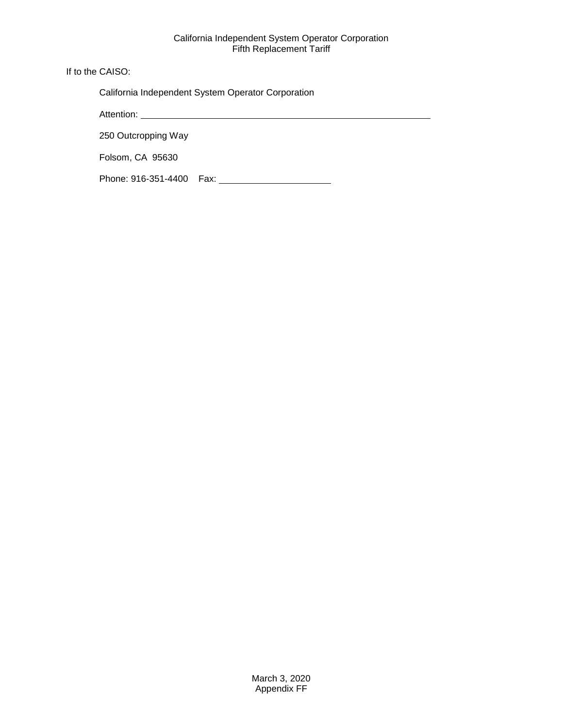If to the CAISO:

California Independent System Operator Corporation

Attention:

250 Outcropping Way

Folsom, CA 95630

Phone: 916-351-4400 Fax: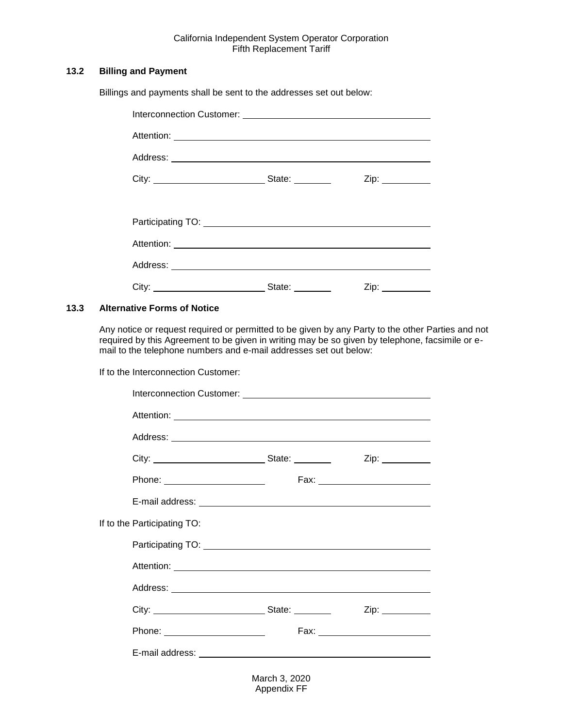# <span id="page-28-0"></span>**13.2 Billing and Payment**

Billings and payments shall be sent to the addresses set out below:

|  | State: ________ |  |  |  |
|--|-----------------|--|--|--|
|  |                 |  |  |  |
|  |                 |  |  |  |
|  |                 |  |  |  |
|  |                 |  |  |  |
|  | State: State:   |  |  |  |

# <span id="page-28-1"></span>**13.3 Alternative Forms of Notice**

Any notice or request required or permitted to be given by any Party to the other Parties and not required by this Agreement to be given in writing may be so given by telephone, facsimile or email to the telephone numbers and e-mail addresses set out below:

If to the Interconnection Customer:

| Interconnection Customer: <u>contract and contract and contract and contract and contract and contract and contract and contract and contract and contract and contract and contract and contract and contract and contract and </u> |                                |
|--------------------------------------------------------------------------------------------------------------------------------------------------------------------------------------------------------------------------------------|--------------------------------|
|                                                                                                                                                                                                                                      |                                |
|                                                                                                                                                                                                                                      |                                |
|                                                                                                                                                                                                                                      |                                |
|                                                                                                                                                                                                                                      | Fax: _________________________ |
|                                                                                                                                                                                                                                      |                                |
|                                                                                                                                                                                                                                      |                                |
|                                                                                                                                                                                                                                      |                                |
|                                                                                                                                                                                                                                      |                                |
|                                                                                                                                                                                                                                      |                                |
|                                                                                                                                                                                                                                      | Zip:                           |
| Phone: <u>with the state of the state of the state of the state of the state of the state of the state of the state of the state of the state of the state of the state of the state of the state of the state of the state of t</u> |                                |
|                                                                                                                                                                                                                                      |                                |
|                                                                                                                                                                                                                                      |                                |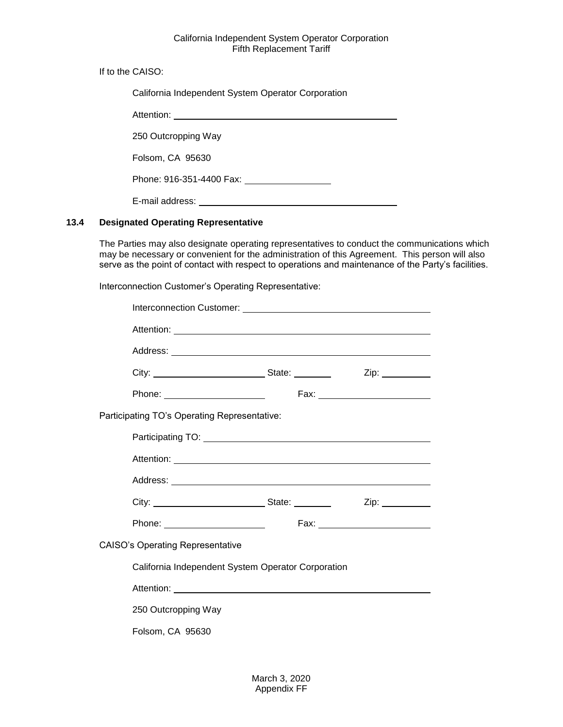If to the CAISO:

| California Independent System Operator Corporation |  |
|----------------------------------------------------|--|
| Attention:                                         |  |
| 250 Outcropping Way                                |  |
| Folsom, CA 95630                                   |  |
| Phone: 916-351-4400 Fax:                           |  |
| E-mail address:                                    |  |

# <span id="page-29-0"></span>**13.4 Designated Operating Representative**

The Parties may also designate operating representatives to conduct the communications which may be necessary or convenient for the administration of this Agreement. This person will also serve as the point of contact with respect to operations and maintenance of the Party's facilities.

Interconnection Customer's Operating Representative:

|                                                    |  |  | Zip: _________ |
|----------------------------------------------------|--|--|----------------|
| Phone: ________________________                    |  |  |                |
| Participating TO's Operating Representative:       |  |  |                |
|                                                    |  |  |                |
|                                                    |  |  |                |
|                                                    |  |  |                |
|                                                    |  |  |                |
| Phone: _________________________                   |  |  |                |
| <b>CAISO's Operating Representative</b>            |  |  |                |
| California Independent System Operator Corporation |  |  |                |
|                                                    |  |  |                |
| 250 Outcropping Way                                |  |  |                |
| Folsom, CA 95630                                   |  |  |                |
|                                                    |  |  |                |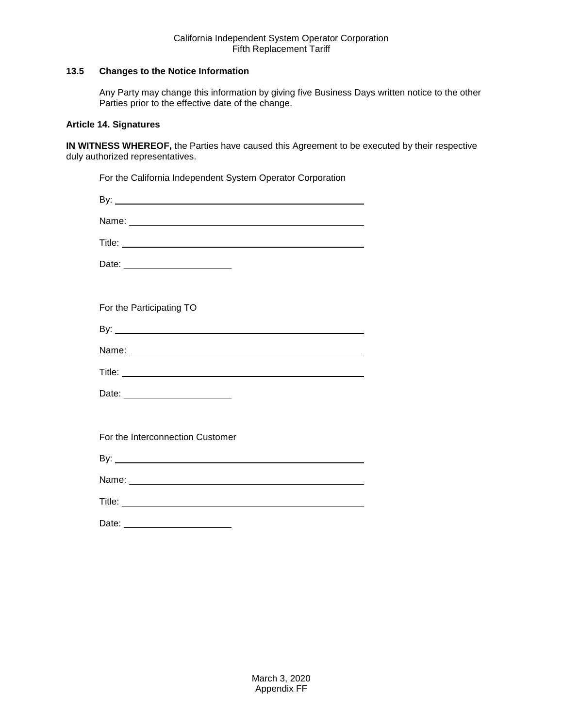# <span id="page-30-0"></span>**13.5 Changes to the Notice Information**

Any Party may change this information by giving five Business Days written notice to the other Parties prior to the effective date of the change.

# <span id="page-30-1"></span>**Article 14. Signatures**

**IN WITNESS WHEREOF,** the Parties have caused this Agreement to be executed by their respective duly authorized representatives.

| For the California Independent System Operator Corporation |
|------------------------------------------------------------|
|                                                            |
|                                                            |
|                                                            |
| Date: _________________________                            |
|                                                            |
| For the Participating TO                                   |
|                                                            |
|                                                            |
|                                                            |
| Date: __________________________                           |
|                                                            |
| For the Interconnection Customer                           |
|                                                            |
|                                                            |
| Title: <u>Communication</u>                                |
|                                                            |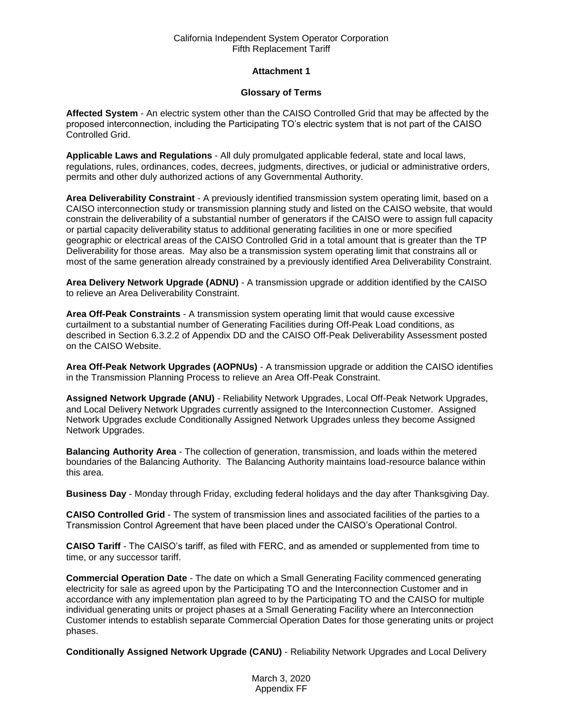# **Attachment 1**

#### **Glossary of Terms**

**Affected System** - An electric system other than the CAISO Controlled Grid that may be affected by the proposed interconnection, including the Participating TO's electric system that is not part of the CAISO Controlled Grid.

**Applicable Laws and Regulations** - All duly promulgated applicable federal, state and local laws, regulations, rules, ordinances, codes, decrees, judgments, directives, or judicial or administrative orders, permits and other duly authorized actions of any Governmental Authority.

**Area Deliverability Constraint** - A previously identified transmission system operating limit, based on a CAISO interconnection study or transmission planning study and listed on the CAISO website, that would constrain the deliverability of a substantial number of generators if the CAISO were to assign full capacity or partial capacity deliverability status to additional generating facilities in one or more specified geographic or electrical areas of the CAISO Controlled Grid in a total amount that is greater than the TP Deliverability for those areas. May also be a transmission system operating limit that constrains all or most of the same generation already constrained by a previously identified Area Deliverability Constraint.

**Area Delivery Network Upgrade (ADNU)** - A transmission upgrade or addition identified by the CAISO to relieve an Area Deliverability Constraint.

**Area Off-Peak Constraints** - A transmission system operating limit that would cause excessive curtailment to a substantial number of Generating Facilities during Off-Peak Load conditions, as described in Section 6.3.2.2 of Appendix DD and the CAISO Off-Peak Deliverability Assessment posted on the CAISO Website.

**Area Off-Peak Network Upgrades (AOPNUs)** - A transmission upgrade or addition the CAISO identifies in the Transmission Planning Process to relieve an Area Off-Peak Constraint.

**Assigned Network Upgrade (ANU)** - Reliability Network Upgrades, Local Off-Peak Network Upgrades, and Local Delivery Network Upgrades currently assigned to the Interconnection Customer. Assigned Network Upgrades exclude Conditionally Assigned Network Upgrades unless they become Assigned Network Upgrades.

**Balancing Authority Area** - The collection of generation, transmission, and loads within the metered boundaries of the Balancing Authority. The Balancing Authority maintains load-resource balance within this area.

**Business Day** - Monday through Friday, excluding federal holidays and the day after Thanksgiving Day.

**CAISO Controlled Grid** - The system of transmission lines and associated facilities of the parties to a Transmission Control Agreement that have been placed under the CAISO's Operational Control.

**CAISO Tariff** - The CAISO's tariff, as filed with FERC, and as amended or supplemented from time to time, or any successor tariff.

**Commercial Operation Date** - The date on which a Small Generating Facility commenced generating electricity for sale as agreed upon by the Participating TO and the Interconnection Customer and in accordance with any implementation plan agreed to by the Participating TO and the CAISO for multiple individual generating units or project phases at a Small Generating Facility where an Interconnection Customer intends to establish separate Commercial Operation Dates for those generating units or project phases.

**Conditionally Assigned Network Upgrade (CANU)** - Reliability Network Upgrades and Local Delivery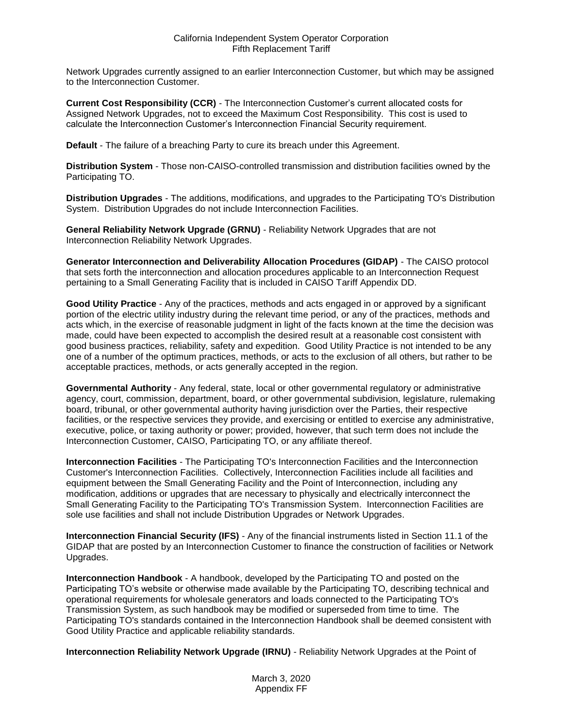Network Upgrades currently assigned to an earlier Interconnection Customer, but which may be assigned to the Interconnection Customer.

**Current Cost Responsibility (CCR)** - The Interconnection Customer's current allocated costs for Assigned Network Upgrades, not to exceed the Maximum Cost Responsibility. This cost is used to calculate the Interconnection Customer's Interconnection Financial Security requirement.

**Default** - The failure of a breaching Party to cure its breach under this Agreement.

**Distribution System** - Those non-CAISO-controlled transmission and distribution facilities owned by the Participating TO.

**Distribution Upgrades** - The additions, modifications, and upgrades to the Participating TO's Distribution System. Distribution Upgrades do not include Interconnection Facilities.

**General Reliability Network Upgrade (GRNU)** - Reliability Network Upgrades that are not Interconnection Reliability Network Upgrades.

**Generator Interconnection and Deliverability Allocation Procedures (GIDAP)** - The CAISO protocol that sets forth the interconnection and allocation procedures applicable to an Interconnection Request pertaining to a Small Generating Facility that is included in CAISO Tariff Appendix DD.

**Good Utility Practice** - Any of the practices, methods and acts engaged in or approved by a significant portion of the electric utility industry during the relevant time period, or any of the practices, methods and acts which, in the exercise of reasonable judgment in light of the facts known at the time the decision was made, could have been expected to accomplish the desired result at a reasonable cost consistent with good business practices, reliability, safety and expedition. Good Utility Practice is not intended to be any one of a number of the optimum practices, methods, or acts to the exclusion of all others, but rather to be acceptable practices, methods, or acts generally accepted in the region.

**Governmental Authority** - Any federal, state, local or other governmental regulatory or administrative agency, court, commission, department, board, or other governmental subdivision, legislature, rulemaking board, tribunal, or other governmental authority having jurisdiction over the Parties, their respective facilities, or the respective services they provide, and exercising or entitled to exercise any administrative, executive, police, or taxing authority or power; provided, however, that such term does not include the Interconnection Customer, CAISO, Participating TO, or any affiliate thereof.

**Interconnection Facilities** - The Participating TO's Interconnection Facilities and the Interconnection Customer's Interconnection Facilities. Collectively, Interconnection Facilities include all facilities and equipment between the Small Generating Facility and the Point of Interconnection, including any modification, additions or upgrades that are necessary to physically and electrically interconnect the Small Generating Facility to the Participating TO's Transmission System. Interconnection Facilities are sole use facilities and shall not include Distribution Upgrades or Network Upgrades.

**Interconnection Financial Security (IFS)** - Any of the financial instruments listed in Section 11.1 of the GIDAP that are posted by an Interconnection Customer to finance the construction of facilities or Network Upgrades.

**Interconnection Handbook** - A handbook, developed by the Participating TO and posted on the Participating TO's website or otherwise made available by the Participating TO, describing technical and operational requirements for wholesale generators and loads connected to the Participating TO's Transmission System, as such handbook may be modified or superseded from time to time. The Participating TO's standards contained in the Interconnection Handbook shall be deemed consistent with Good Utility Practice and applicable reliability standards.

**Interconnection Reliability Network Upgrade (IRNU)** - Reliability Network Upgrades at the Point of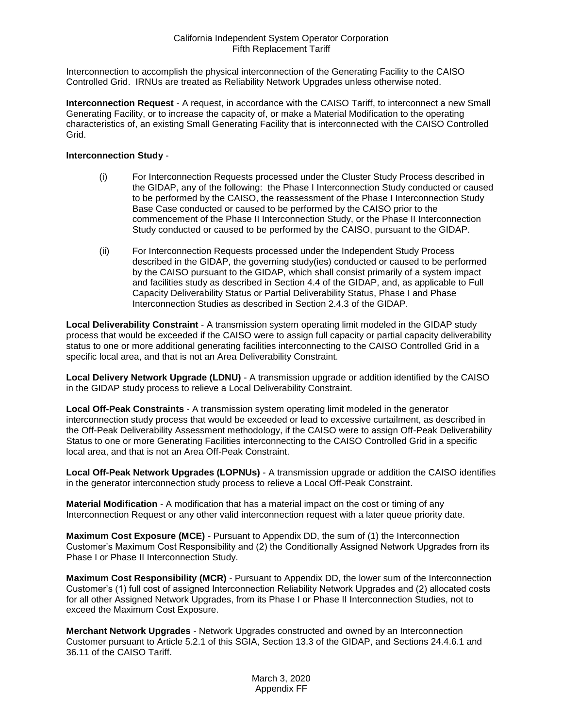Interconnection to accomplish the physical interconnection of the Generating Facility to the CAISO Controlled Grid. IRNUs are treated as Reliability Network Upgrades unless otherwise noted.

**Interconnection Request** - A request, in accordance with the CAISO Tariff, to interconnect a new Small Generating Facility, or to increase the capacity of, or make a Material Modification to the operating characteristics of, an existing Small Generating Facility that is interconnected with the CAISO Controlled Grid.

# **Interconnection Study** -

- (i) For Interconnection Requests processed under the Cluster Study Process described in the GIDAP, any of the following: the Phase I Interconnection Study conducted or caused to be performed by the CAISO, the reassessment of the Phase I Interconnection Study Base Case conducted or caused to be performed by the CAISO prior to the commencement of the Phase II Interconnection Study, or the Phase II Interconnection Study conducted or caused to be performed by the CAISO, pursuant to the GIDAP.
- (ii) For Interconnection Requests processed under the Independent Study Process described in the GIDAP, the governing study(ies) conducted or caused to be performed by the CAISO pursuant to the GIDAP, which shall consist primarily of a system impact and facilities study as described in Section 4.4 of the GIDAP, and, as applicable to Full Capacity Deliverability Status or Partial Deliverability Status, Phase I and Phase Interconnection Studies as described in Section 2.4.3 of the GIDAP.

**Local Deliverability Constraint** - A transmission system operating limit modeled in the GIDAP study process that would be exceeded if the CAISO were to assign full capacity or partial capacity deliverability status to one or more additional generating facilities interconnecting to the CAISO Controlled Grid in a specific local area, and that is not an Area Deliverability Constraint.

**Local Delivery Network Upgrade (LDNU)** - A transmission upgrade or addition identified by the CAISO in the GIDAP study process to relieve a Local Deliverability Constraint.

**Local Off-Peak Constraints** - A transmission system operating limit modeled in the generator interconnection study process that would be exceeded or lead to excessive curtailment, as described in the Off-Peak Deliverability Assessment methodology, if the CAISO were to assign Off-Peak Deliverability Status to one or more Generating Facilities interconnecting to the CAISO Controlled Grid in a specific local area, and that is not an Area Off-Peak Constraint.

**Local Off-Peak Network Upgrades (LOPNUs)** - A transmission upgrade or addition the CAISO identifies in the generator interconnection study process to relieve a Local Off-Peak Constraint.

**Material Modification** - A modification that has a material impact on the cost or timing of any Interconnection Request or any other valid interconnection request with a later queue priority date.

**Maximum Cost Exposure (MCE)** - Pursuant to Appendix DD, the sum of (1) the Interconnection Customer's Maximum Cost Responsibility and (2) the Conditionally Assigned Network Upgrades from its Phase I or Phase II Interconnection Study.

**Maximum Cost Responsibility (MCR)** - Pursuant to Appendix DD, the lower sum of the Interconnection Customer's (1) full cost of assigned Interconnection Reliability Network Upgrades and (2) allocated costs for all other Assigned Network Upgrades, from its Phase I or Phase II Interconnection Studies, not to exceed the Maximum Cost Exposure.

**Merchant Network Upgrades** - Network Upgrades constructed and owned by an Interconnection Customer pursuant to Article 5.2.1 of this SGIA, Section 13.3 of the GIDAP, and Sections 24.4.6.1 and 36.11 of the CAISO Tariff.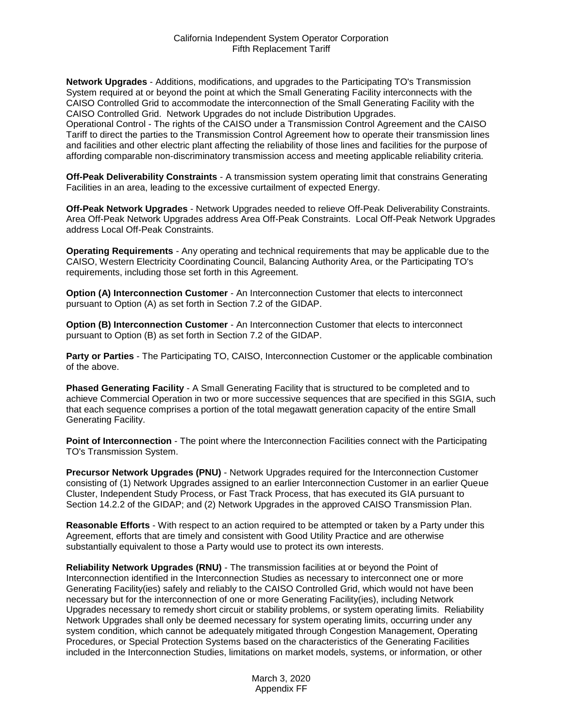**Network Upgrades** - Additions, modifications, and upgrades to the Participating TO's Transmission System required at or beyond the point at which the Small Generating Facility interconnects with the CAISO Controlled Grid to accommodate the interconnection of the Small Generating Facility with the CAISO Controlled Grid. Network Upgrades do not include Distribution Upgrades.

Operational Control - The rights of the CAISO under a Transmission Control Agreement and the CAISO Tariff to direct the parties to the Transmission Control Agreement how to operate their transmission lines and facilities and other electric plant affecting the reliability of those lines and facilities for the purpose of affording comparable non-discriminatory transmission access and meeting applicable reliability criteria.

**Off-Peak Deliverability Constraints** - A transmission system operating limit that constrains Generating Facilities in an area, leading to the excessive curtailment of expected Energy.

**Off-Peak Network Upgrades** - Network Upgrades needed to relieve Off-Peak Deliverability Constraints. Area Off-Peak Network Upgrades address Area Off-Peak Constraints. Local Off-Peak Network Upgrades address Local Off-Peak Constraints.

**Operating Requirements** - Any operating and technical requirements that may be applicable due to the CAISO, Western Electricity Coordinating Council, Balancing Authority Area, or the Participating TO's requirements, including those set forth in this Agreement.

**Option (A) Interconnection Customer** - An Interconnection Customer that elects to interconnect pursuant to Option (A) as set forth in Section 7.2 of the GIDAP.

**Option (B) Interconnection Customer** - An Interconnection Customer that elects to interconnect pursuant to Option (B) as set forth in Section 7.2 of the GIDAP.

**Party or Parties** - The Participating TO, CAISO, Interconnection Customer or the applicable combination of the above.

**Phased Generating Facility** - A Small Generating Facility that is structured to be completed and to achieve Commercial Operation in two or more successive sequences that are specified in this SGIA, such that each sequence comprises a portion of the total megawatt generation capacity of the entire Small Generating Facility.

**Point of Interconnection** - The point where the Interconnection Facilities connect with the Participating TO's Transmission System.

**Precursor Network Upgrades (PNU)** - Network Upgrades required for the Interconnection Customer consisting of (1) Network Upgrades assigned to an earlier Interconnection Customer in an earlier Queue Cluster, Independent Study Process, or Fast Track Process, that has executed its GIA pursuant to Section 14.2.2 of the GIDAP; and (2) Network Upgrades in the approved CAISO Transmission Plan.

**Reasonable Efforts** - With respect to an action required to be attempted or taken by a Party under this Agreement, efforts that are timely and consistent with Good Utility Practice and are otherwise substantially equivalent to those a Party would use to protect its own interests.

**Reliability Network Upgrades (RNU)** - The transmission facilities at or beyond the Point of Interconnection identified in the Interconnection Studies as necessary to interconnect one or more Generating Facility(ies) safely and reliably to the CAISO Controlled Grid, which would not have been necessary but for the interconnection of one or more Generating Facility(ies), including Network Upgrades necessary to remedy short circuit or stability problems, or system operating limits. Reliability Network Upgrades shall only be deemed necessary for system operating limits, occurring under any system condition, which cannot be adequately mitigated through Congestion Management, Operating Procedures, or Special Protection Systems based on the characteristics of the Generating Facilities included in the Interconnection Studies, limitations on market models, systems, or information, or other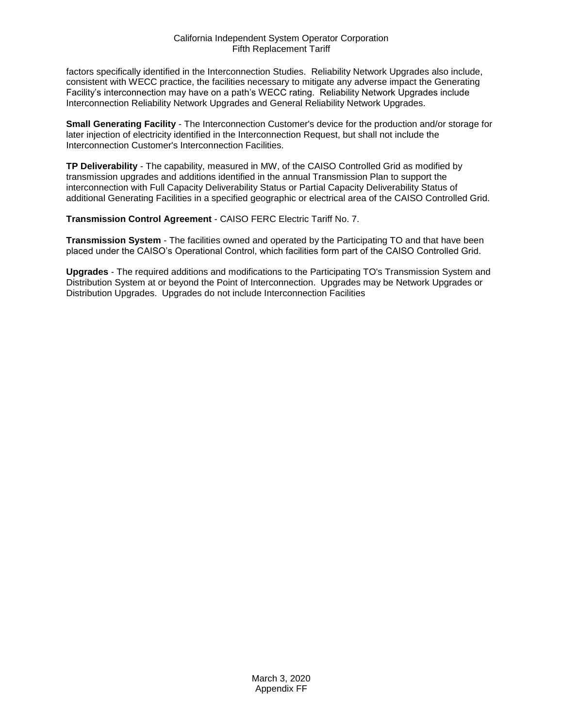factors specifically identified in the Interconnection Studies. Reliability Network Upgrades also include, consistent with WECC practice, the facilities necessary to mitigate any adverse impact the Generating Facility's interconnection may have on a path's WECC rating. Reliability Network Upgrades include Interconnection Reliability Network Upgrades and General Reliability Network Upgrades.

**Small Generating Facility** - The Interconnection Customer's device for the production and/or storage for later injection of electricity identified in the Interconnection Request, but shall not include the Interconnection Customer's Interconnection Facilities.

**TP Deliverability** - The capability, measured in MW, of the CAISO Controlled Grid as modified by transmission upgrades and additions identified in the annual Transmission Plan to support the interconnection with Full Capacity Deliverability Status or Partial Capacity Deliverability Status of additional Generating Facilities in a specified geographic or electrical area of the CAISO Controlled Grid.

**Transmission Control Agreement** - CAISO FERC Electric Tariff No. 7.

**Transmission System** - The facilities owned and operated by the Participating TO and that have been placed under the CAISO's Operational Control, which facilities form part of the CAISO Controlled Grid.

**Upgrades** - The required additions and modifications to the Participating TO's Transmission System and Distribution System at or beyond the Point of Interconnection. Upgrades may be Network Upgrades or Distribution Upgrades. Upgrades do not include Interconnection Facilities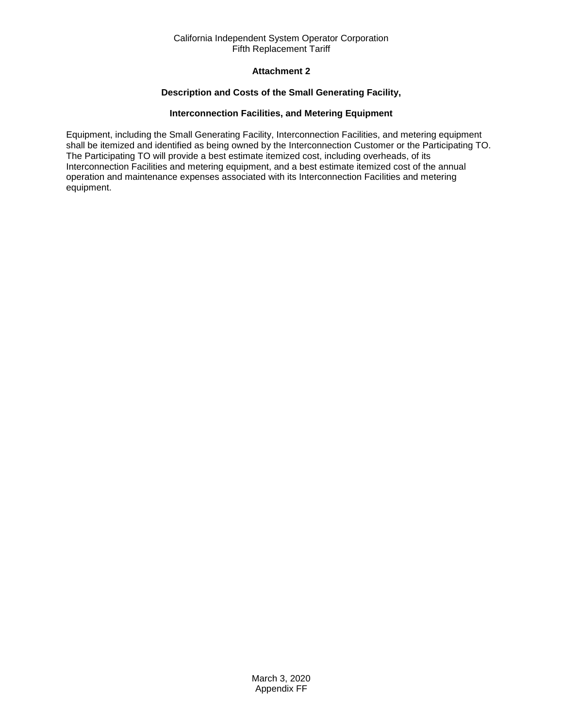# **Attachment 2**

# **Description and Costs of the Small Generating Facility,**

# **Interconnection Facilities, and Metering Equipment**

<span id="page-36-0"></span>Equipment, including the Small Generating Facility, Interconnection Facilities, and metering equipment shall be itemized and identified as being owned by the Interconnection Customer or the Participating TO. The Participating TO will provide a best estimate itemized cost, including overheads, of its Interconnection Facilities and metering equipment, and a best estimate itemized cost of the annual operation and maintenance expenses associated with its Interconnection Facilities and metering equipment.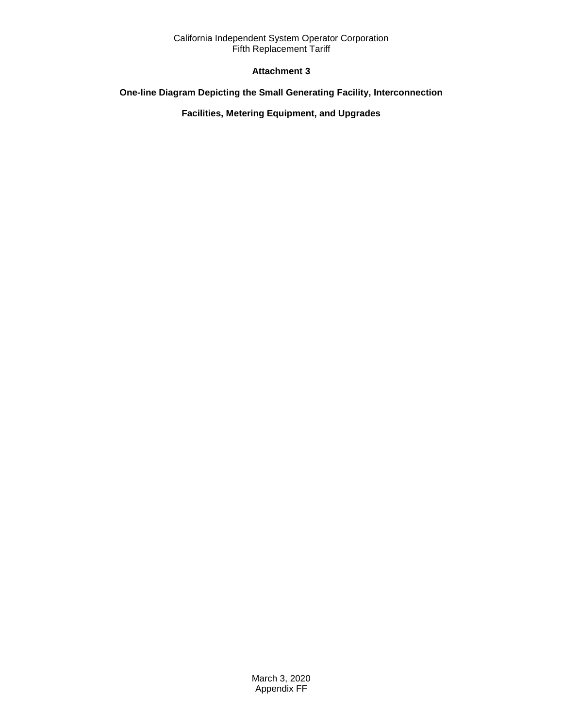# **Attachment 3**

# <span id="page-37-0"></span>**One-line Diagram Depicting the Small Generating Facility, Interconnection**

**Facilities, Metering Equipment, and Upgrades**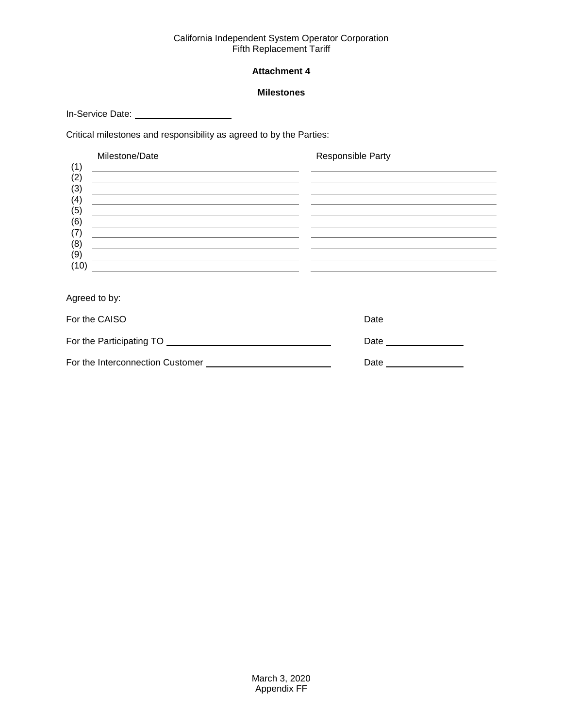# **Attachment 4**

### **Milestones**

<span id="page-38-0"></span>In-Service Date: \_\_\_\_\_\_\_\_\_\_\_\_\_\_\_\_\_\_\_\_\_\_\_\_

Critical milestones and responsibility as agreed to by the Parties:

|            | Milestone/Date                                                                                                                                                                                                                       | Responsible Party |
|------------|--------------------------------------------------------------------------------------------------------------------------------------------------------------------------------------------------------------------------------------|-------------------|
| (1)        | <u> 1989 - Johann Stoff, deutscher Stoff, der Stoff, der Stoff, der Stoff, der Stoff, der Stoff, der Stoff, der S</u>                                                                                                                |                   |
| (2)        | <u> 1989 - Johann Harry Harry Harry Harry Harry Harry Harry Harry Harry Harry Harry Harry Harry Harry Harry Harry</u>                                                                                                                |                   |
| (3)        | <u> 1989 - Andrea State Barbara, politik a postal de la provincia de la provincia de la provincia de la provincia de la provincia de la provincia de la provincia de la provincia de la provincia de la provincia de la provinci</u> |                   |
| (4)        | <u> 1980 - Jan Stein Stein, Amerikaansk politiker (</u>                                                                                                                                                                              |                   |
| (5)        |                                                                                                                                                                                                                                      |                   |
| (6)        | <u> 1980 - Jan Alexandro Alexandro Alexandro Alexandro Alexandro Alexandro Alexandro Alexandro Alexandro Alexandro </u>                                                                                                              |                   |
| (7)<br>(8) | <u> 1989 - Johann Barn, mars ann an t-Amhainn an t-Amhainn an t-Amhainn an t-Amhainn an t-Amhainn an t-Amhainn an</u>                                                                                                                |                   |
| (9)        |                                                                                                                                                                                                                                      |                   |
| (10)       |                                                                                                                                                                                                                                      |                   |
|            |                                                                                                                                                                                                                                      |                   |
|            |                                                                                                                                                                                                                                      |                   |

Agreed to by:

| For the CAISO                    | Date |
|----------------------------------|------|
| For the Participating TO         | Date |
| For the Interconnection Customer | Date |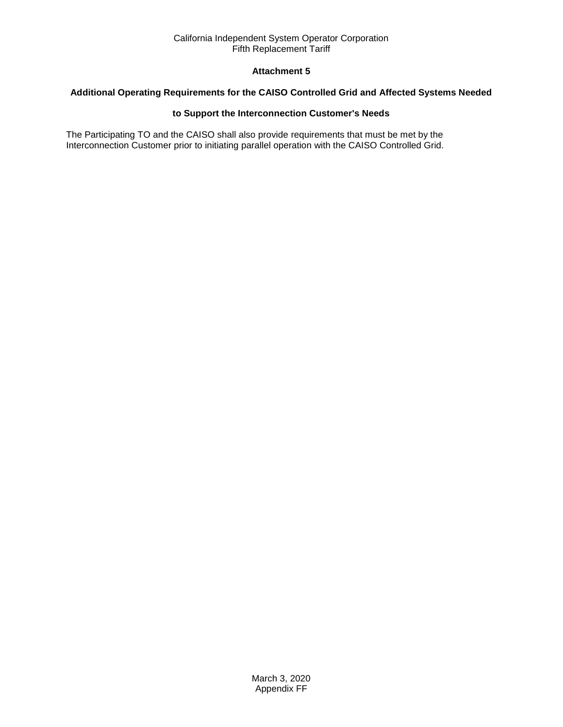# **Attachment 5**

# <span id="page-39-0"></span>**Additional Operating Requirements for the CAISO Controlled Grid and Affected Systems Needed**

# **to Support the Interconnection Customer's Needs**

The Participating TO and the CAISO shall also provide requirements that must be met by the Interconnection Customer prior to initiating parallel operation with the CAISO Controlled Grid.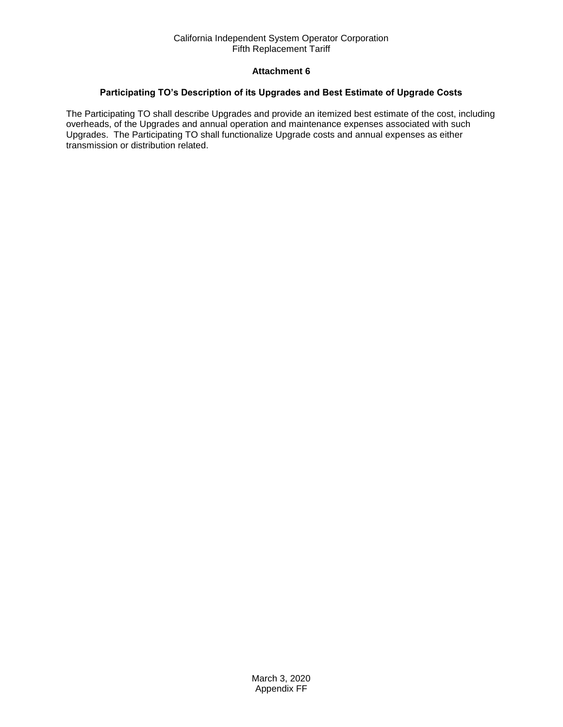# **Attachment 6**

# <span id="page-40-0"></span>**Participating TO's Description of its Upgrades and Best Estimate of Upgrade Costs**

The Participating TO shall describe Upgrades and provide an itemized best estimate of the cost, including overheads, of the Upgrades and annual operation and maintenance expenses associated with such Upgrades. The Participating TO shall functionalize Upgrade costs and annual expenses as either transmission or distribution related.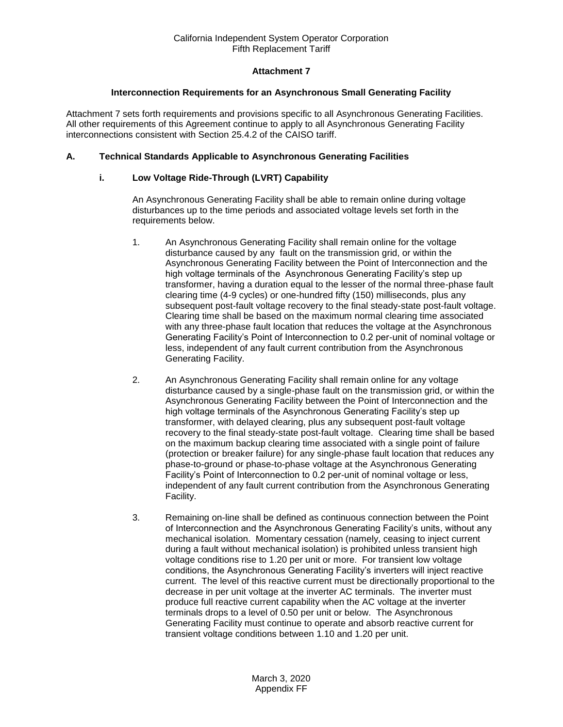# **Attachment 7**

# **Interconnection Requirements for an Asynchronous Small Generating Facility**

<span id="page-41-0"></span>Attachment 7 sets forth requirements and provisions specific to all Asynchronous Generating Facilities. All other requirements of this Agreement continue to apply to all Asynchronous Generating Facility interconnections consistent with Section 25.4.2 of the CAISO tariff.

# **A. Technical Standards Applicable to Asynchronous Generating Facilities**

# **i. Low Voltage Ride-Through (LVRT) Capability**

An Asynchronous Generating Facility shall be able to remain online during voltage disturbances up to the time periods and associated voltage levels set forth in the requirements below.

- 1. An Asynchronous Generating Facility shall remain online for the voltage disturbance caused by any fault on the transmission grid, or within the Asynchronous Generating Facility between the Point of Interconnection and the high voltage terminals of the Asynchronous Generating Facility's step up transformer, having a duration equal to the lesser of the normal three-phase fault clearing time (4-9 cycles) or one-hundred fifty (150) milliseconds, plus any subsequent post-fault voltage recovery to the final steady-state post-fault voltage. Clearing time shall be based on the maximum normal clearing time associated with any three-phase fault location that reduces the voltage at the Asynchronous Generating Facility's Point of Interconnection to 0.2 per-unit of nominal voltage or less, independent of any fault current contribution from the Asynchronous Generating Facility.
- 2. An Asynchronous Generating Facility shall remain online for any voltage disturbance caused by a single-phase fault on the transmission grid, or within the Asynchronous Generating Facility between the Point of Interconnection and the high voltage terminals of the Asynchronous Generating Facility's step up transformer, with delayed clearing, plus any subsequent post-fault voltage recovery to the final steady-state post-fault voltage. Clearing time shall be based on the maximum backup clearing time associated with a single point of failure (protection or breaker failure) for any single-phase fault location that reduces any phase-to-ground or phase-to-phase voltage at the Asynchronous Generating Facility's Point of Interconnection to 0.2 per-unit of nominal voltage or less, independent of any fault current contribution from the Asynchronous Generating Facility.
- 3. Remaining on-line shall be defined as continuous connection between the Point of Interconnection and the Asynchronous Generating Facility's units, without any mechanical isolation. Momentary cessation (namely, ceasing to inject current during a fault without mechanical isolation) is prohibited unless transient high voltage conditions rise to 1.20 per unit or more. For transient low voltage conditions, the Asynchronous Generating Facility's inverters will inject reactive current. The level of this reactive current must be directionally proportional to the decrease in per unit voltage at the inverter AC terminals. The inverter must produce full reactive current capability when the AC voltage at the inverter terminals drops to a level of 0.50 per unit or below. The Asynchronous Generating Facility must continue to operate and absorb reactive current for transient voltage conditions between 1.10 and 1.20 per unit.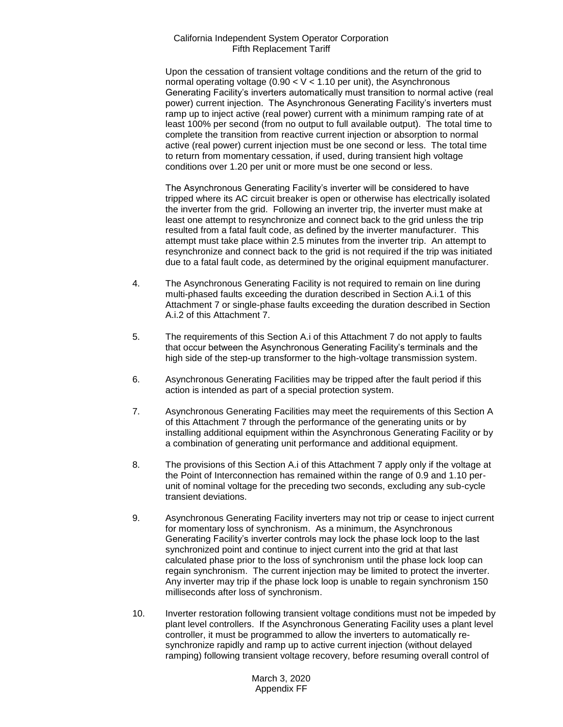Upon the cessation of transient voltage conditions and the return of the grid to normal operating voltage (0.90  $<$  V  $<$  1.10 per unit), the Asynchronous Generating Facility's inverters automatically must transition to normal active (real power) current injection. The Asynchronous Generating Facility's inverters must ramp up to inject active (real power) current with a minimum ramping rate of at least 100% per second (from no output to full available output). The total time to complete the transition from reactive current injection or absorption to normal active (real power) current injection must be one second or less. The total time to return from momentary cessation, if used, during transient high voltage conditions over 1.20 per unit or more must be one second or less.

The Asynchronous Generating Facility's inverter will be considered to have tripped where its AC circuit breaker is open or otherwise has electrically isolated the inverter from the grid. Following an inverter trip, the inverter must make at least one attempt to resynchronize and connect back to the grid unless the trip resulted from a fatal fault code, as defined by the inverter manufacturer. This attempt must take place within 2.5 minutes from the inverter trip. An attempt to resynchronize and connect back to the grid is not required if the trip was initiated due to a fatal fault code, as determined by the original equipment manufacturer.

- 4. The Asynchronous Generating Facility is not required to remain on line during multi-phased faults exceeding the duration described in Section A.i.1 of this Attachment 7 or single-phase faults exceeding the duration described in Section A.i.2 of this Attachment 7.
- 5. The requirements of this Section A.i of this Attachment 7 do not apply to faults that occur between the Asynchronous Generating Facility's terminals and the high side of the step-up transformer to the high-voltage transmission system.
- 6. Asynchronous Generating Facilities may be tripped after the fault period if this action is intended as part of a special protection system.
- 7. Asynchronous Generating Facilities may meet the requirements of this Section A of this Attachment 7 through the performance of the generating units or by installing additional equipment within the Asynchronous Generating Facility or by a combination of generating unit performance and additional equipment.
- 8. The provisions of this Section A.i of this Attachment 7 apply only if the voltage at the Point of Interconnection has remained within the range of 0.9 and 1.10 perunit of nominal voltage for the preceding two seconds, excluding any sub-cycle transient deviations.
- 9. Asynchronous Generating Facility inverters may not trip or cease to inject current for momentary loss of synchronism. As a minimum, the Asynchronous Generating Facility's inverter controls may lock the phase lock loop to the last synchronized point and continue to inject current into the grid at that last calculated phase prior to the loss of synchronism until the phase lock loop can regain synchronism. The current injection may be limited to protect the inverter. Any inverter may trip if the phase lock loop is unable to regain synchronism 150 milliseconds after loss of synchronism.
- 10. Inverter restoration following transient voltage conditions must not be impeded by plant level controllers. If the Asynchronous Generating Facility uses a plant level controller, it must be programmed to allow the inverters to automatically resynchronize rapidly and ramp up to active current injection (without delayed ramping) following transient voltage recovery, before resuming overall control of